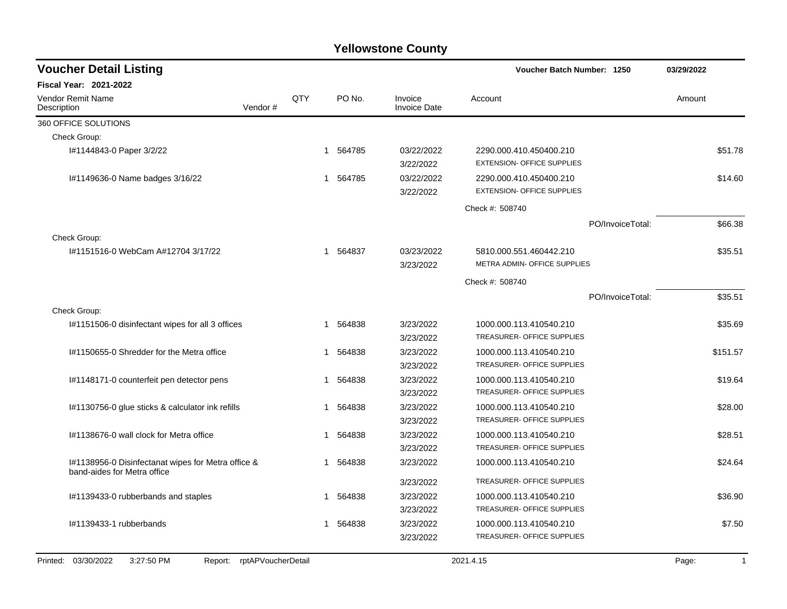| <b>Voucher Detail Listing</b>                                                     |                    |     |             |                                | Voucher Batch Number: 1250                                   | 03/29/2022            |
|-----------------------------------------------------------------------------------|--------------------|-----|-------------|--------------------------------|--------------------------------------------------------------|-----------------------|
| <b>Fiscal Year: 2021-2022</b>                                                     |                    |     |             |                                |                                                              |                       |
| Vendor Remit Name<br>Description                                                  | Vendor#            | QTY | PO No.      | Invoice<br><b>Invoice Date</b> | Account                                                      | Amount                |
| 360 OFFICE SOLUTIONS                                                              |                    |     |             |                                |                                                              |                       |
| Check Group:                                                                      |                    |     |             |                                |                                                              |                       |
| I#1144843-0 Paper 3/2/22                                                          |                    |     | 1 564785    | 03/22/2022<br>3/22/2022        | 2290.000.410.450400.210<br><b>EXTENSION- OFFICE SUPPLIES</b> | \$51.78               |
| I#1149636-0 Name badges 3/16/22                                                   |                    |     | 564785<br>1 | 03/22/2022<br>3/22/2022        | 2290.000.410.450400.210<br><b>EXTENSION- OFFICE SUPPLIES</b> | \$14.60               |
|                                                                                   |                    |     |             |                                | Check #: 508740                                              |                       |
|                                                                                   |                    |     |             |                                | PO/InvoiceTotal:                                             | \$66.38               |
| Check Group:                                                                      |                    |     |             |                                |                                                              |                       |
| #1151516-0 WebCam A#12704 3/17/22                                                 |                    | 1   | 564837      | 03/23/2022<br>3/23/2022        | 5810.000.551.460442.210<br>METRA ADMIN- OFFICE SUPPLIES      | \$35.51               |
|                                                                                   |                    |     |             |                                | Check #: 508740                                              |                       |
|                                                                                   |                    |     |             |                                | PO/InvoiceTotal:                                             | \$35.51               |
| Check Group:                                                                      |                    |     |             |                                |                                                              |                       |
| I#1151506-0 disinfectant wipes for all 3 offices                                  |                    | 1   | 564838      | 3/23/2022<br>3/23/2022         | 1000.000.113.410540.210<br>TREASURER- OFFICE SUPPLIES        | \$35.69               |
| I#1150655-0 Shredder for the Metra office                                         |                    | 1   | 564838      | 3/23/2022<br>3/23/2022         | 1000.000.113.410540.210<br><b>TREASURER- OFFICE SUPPLIES</b> | \$151.57              |
| I#1148171-0 counterfeit pen detector pens                                         |                    | 1   | 564838      | 3/23/2022<br>3/23/2022         | 1000.000.113.410540.210<br>TREASURER- OFFICE SUPPLIES        | \$19.64               |
| I#1130756-0 glue sticks & calculator ink refills                                  |                    | 1   | 564838      | 3/23/2022<br>3/23/2022         | 1000.000.113.410540.210<br>TREASURER- OFFICE SUPPLIES        | \$28.00               |
| I#1138676-0 wall clock for Metra office                                           |                    | 1   | 564838      | 3/23/2022<br>3/23/2022         | 1000.000.113.410540.210<br>TREASURER- OFFICE SUPPLIES        | \$28.51               |
| I#1138956-0 Disinfectanat wipes for Metra office &<br>band-aides for Metra office |                    | 1   | 564838      | 3/23/2022                      | 1000.000.113.410540.210                                      | \$24.64               |
|                                                                                   |                    |     |             | 3/23/2022                      | TREASURER- OFFICE SUPPLIES                                   |                       |
| I#1139433-0 rubberbands and staples                                               |                    | 1   | 564838      | 3/23/2022                      | 1000.000.113.410540.210                                      | \$36.90               |
|                                                                                   |                    |     |             | 3/23/2022                      | TREASURER- OFFICE SUPPLIES                                   |                       |
| I#1139433-1 rubberbands                                                           |                    | 1   | 564838      | 3/23/2022<br>3/23/2022         | 1000.000.113.410540.210<br>TREASURER- OFFICE SUPPLIES        | \$7.50                |
| 3:27:50 PM<br>Printed: 03/30/2022<br>Report:                                      | rptAPVoucherDetail |     |             |                                | 2021.4.15                                                    | Page:<br>$\mathbf{1}$ |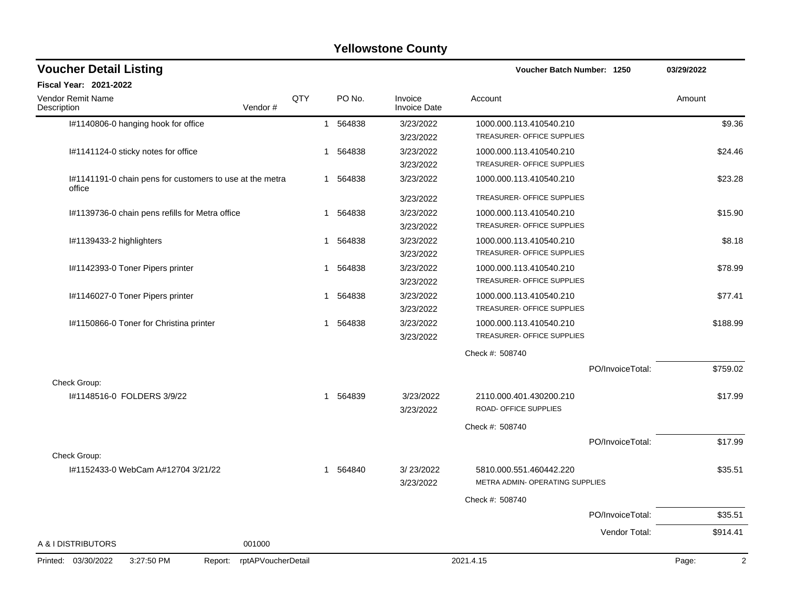| <b>Voucher Detail Listing</b>                                      |            |              |        |                                | Voucher Batch Number: 1250                       | 03/29/2022              |
|--------------------------------------------------------------------|------------|--------------|--------|--------------------------------|--------------------------------------------------|-------------------------|
| <b>Fiscal Year: 2021-2022</b>                                      |            |              |        |                                |                                                  |                         |
| <b>Vendor Remit Name</b><br>Vendor#<br>Description                 | <b>QTY</b> |              | PO No. | Invoice<br><b>Invoice Date</b> | Account                                          | Amount                  |
| I#1140806-0 hanging hook for office                                |            | $\mathbf{1}$ | 564838 | 3/23/2022                      | 1000.000.113.410540.210                          | \$9.36                  |
|                                                                    |            |              |        | 3/23/2022                      | TREASURER- OFFICE SUPPLIES                       |                         |
| I#1141124-0 sticky notes for office                                |            | 1            | 564838 | 3/23/2022                      | 1000.000.113.410540.210                          | \$24.46                 |
|                                                                    |            |              |        | 3/23/2022                      | TREASURER- OFFICE SUPPLIES                       |                         |
| I#1141191-0 chain pens for customers to use at the metra<br>office |            | 1            | 564838 | 3/23/2022                      | 1000.000.113.410540.210                          | \$23.28                 |
|                                                                    |            |              |        | 3/23/2022                      | TREASURER- OFFICE SUPPLIES                       |                         |
| I#1139736-0 chain pens refills for Metra office                    |            | 1            | 564838 | 3/23/2022                      | 1000.000.113.410540.210                          | \$15.90                 |
|                                                                    |            |              |        | 3/23/2022                      | TREASURER- OFFICE SUPPLIES                       |                         |
| I#1139433-2 highlighters                                           |            | 1            | 564838 | 3/23/2022                      | 1000.000.113.410540.210                          | \$8.18                  |
|                                                                    |            |              |        | 3/23/2022                      | TREASURER- OFFICE SUPPLIES                       |                         |
| I#1142393-0 Toner Pipers printer                                   |            | 1            | 564838 | 3/23/2022                      | 1000.000.113.410540.210                          | \$78.99                 |
|                                                                    |            |              |        | 3/23/2022                      | TREASURER- OFFICE SUPPLIES                       |                         |
| I#1146027-0 Toner Pipers printer                                   |            | 1            | 564838 | 3/23/2022                      | 1000.000.113.410540.210                          | \$77.41                 |
|                                                                    |            |              |        | 3/23/2022                      | <b>TREASURER- OFFICE SUPPLIES</b>                |                         |
| I#1150866-0 Toner for Christina printer                            |            | 1            | 564838 | 3/23/2022                      | 1000.000.113.410540.210                          | \$188.99                |
|                                                                    |            |              |        | 3/23/2022                      | TREASURER- OFFICE SUPPLIES                       |                         |
|                                                                    |            |              |        |                                | Check #: 508740                                  |                         |
|                                                                    |            |              |        |                                | PO/InvoiceTotal:                                 | \$759.02                |
| Check Group:                                                       |            |              |        |                                |                                                  |                         |
| #1148516-0 FOLDERS 3/9/22                                          |            | 1            | 564839 | 3/23/2022<br>3/23/2022         | 2110.000.401.430200.210<br>ROAD- OFFICE SUPPLIES | \$17.99                 |
|                                                                    |            |              |        |                                | Check #: 508740                                  |                         |
|                                                                    |            |              |        |                                | PO/InvoiceTotal:                                 | \$17.99                 |
| Check Group:                                                       |            |              |        |                                |                                                  |                         |
| I#1152433-0 WebCam A#12704 3/21/22                                 |            | $\mathbf{1}$ | 564840 | 3/23/2022                      | 5810.000.551.460442.220                          | \$35.51                 |
|                                                                    |            |              |        | 3/23/2022                      | METRA ADMIN- OPERATING SUPPLIES                  |                         |
|                                                                    |            |              |        |                                | Check #: 508740                                  |                         |
|                                                                    |            |              |        |                                | PO/InvoiceTotal:                                 | \$35.51                 |
|                                                                    |            |              |        |                                | Vendor Total:                                    | \$914.41                |
| A & I DISTRIBUTORS<br>001000                                       |            |              |        |                                |                                                  |                         |
| Printed: 03/30/2022<br>3:27:50 PM<br>rptAPVoucherDetail<br>Report: |            |              |        |                                | 2021.4.15                                        | $\overline{2}$<br>Page: |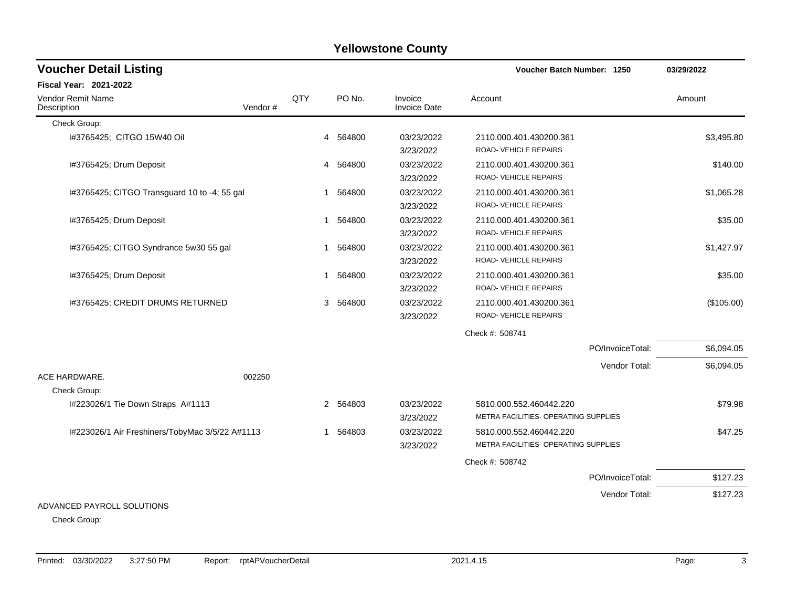| <b>Voucher Detail Listing</b>                   |         |                |             |                         | Voucher Batch Number: 1250                                      |                  | 03/29/2022 |
|-------------------------------------------------|---------|----------------|-------------|-------------------------|-----------------------------------------------------------------|------------------|------------|
| <b>Fiscal Year: 2021-2022</b>                   |         |                |             |                         |                                                                 |                  |            |
| Vendor Remit Name<br>Description                | Vendor# | QTY            | PO No.      | Invoice<br>Invoice Date | Account                                                         |                  | Amount     |
| Check Group:                                    |         |                |             |                         |                                                                 |                  |            |
| I#3765425; CITGO 15W40 Oil                      |         |                | 4 564800    | 03/23/2022<br>3/23/2022 | 2110.000.401.430200.361<br>ROAD-VEHICLE REPAIRS                 |                  | \$3,495.80 |
| I#3765425; Drum Deposit                         |         |                | 4 564800    | 03/23/2022<br>3/23/2022 | 2110.000.401.430200.361<br>ROAD-VEHICLE REPAIRS                 |                  | \$140.00   |
| I#3765425; CITGO Transguard 10 to -4; 55 gal    |         | 1              | 564800      | 03/23/2022<br>3/23/2022 | 2110.000.401.430200.361<br>ROAD-VEHICLE REPAIRS                 |                  | \$1,065.28 |
| I#3765425; Drum Deposit                         |         | 1              | 564800      | 03/23/2022<br>3/23/2022 | 2110.000.401.430200.361<br>ROAD-VEHICLE REPAIRS                 |                  | \$35.00    |
| I#3765425; CITGO Syndrance 5w30 55 gal          |         | $\overline{1}$ | 564800      | 03/23/2022<br>3/23/2022 | 2110.000.401.430200.361<br>ROAD- VEHICLE REPAIRS                |                  | \$1,427.97 |
| I#3765425; Drum Deposit                         |         | 1              | 564800      | 03/23/2022<br>3/23/2022 | 2110.000.401.430200.361<br>ROAD-VEHICLE REPAIRS                 |                  | \$35.00    |
| I#3765425; CREDIT DRUMS RETURNED                |         |                | 564800<br>3 | 03/23/2022<br>3/23/2022 | 2110.000.401.430200.361<br>ROAD-VEHICLE REPAIRS                 |                  | (\$105.00) |
|                                                 |         |                |             |                         | Check #: 508741                                                 |                  |            |
|                                                 |         |                |             |                         |                                                                 | PO/InvoiceTotal: | \$6,094.05 |
|                                                 |         |                |             |                         |                                                                 | Vendor Total:    | \$6,094.05 |
| ACE HARDWARE.<br>Check Group:                   | 002250  |                |             |                         |                                                                 |                  |            |
| I#223026/1 Tie Down Straps A#1113               |         |                | 2 564803    | 03/23/2022<br>3/23/2022 | 5810.000.552.460442.220<br>METRA FACILITIES- OPERATING SUPPLIES |                  | \$79.98    |
| I#223026/1 Air Freshiners/TobyMac 3/5/22 A#1113 |         | 1              | 564803      | 03/23/2022<br>3/23/2022 | 5810.000.552.460442.220<br>METRA FACILITIES- OPERATING SUPPLIES |                  | \$47.25    |
|                                                 |         |                |             |                         | Check #: 508742                                                 |                  |            |
|                                                 |         |                |             |                         |                                                                 | PO/InvoiceTotal: | \$127.23   |
|                                                 |         |                |             |                         |                                                                 | Vendor Total:    | \$127.23   |
| ADVANCED PAYROLL SOLUTIONS                      |         |                |             |                         |                                                                 |                  |            |

Check Group: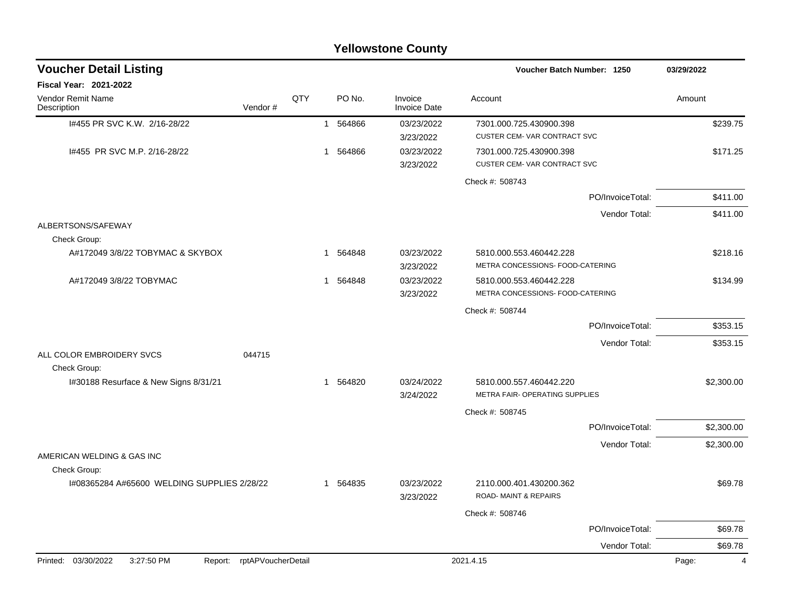|                                                                 |         |     |                        | <b>Yellowstone County</b>      |                                                             |                  |            |
|-----------------------------------------------------------------|---------|-----|------------------------|--------------------------------|-------------------------------------------------------------|------------------|------------|
| <b>Voucher Detail Listing</b>                                   |         |     |                        |                                | Voucher Batch Number: 1250                                  |                  | 03/29/2022 |
| <b>Fiscal Year: 2021-2022</b>                                   |         |     |                        |                                |                                                             |                  |            |
| <b>Vendor Remit Name</b><br>Description                         | Vendor# | QTY | PO No.                 | Invoice<br><b>Invoice Date</b> | Account                                                     |                  | Amount     |
| I#455 PR SVC K.W. 2/16-28/22                                    |         |     | 564866<br>1            | 03/23/2022<br>3/23/2022        | 7301.000.725.430900.398<br>CUSTER CEM-VAR CONTRACT SVC      |                  | \$239.75   |
| 1#455 PR SVC M.P. 2/16-28/22                                    |         |     | 564866<br>$\mathbf{1}$ | 03/23/2022<br>3/23/2022        | 7301.000.725.430900.398<br>CUSTER CEM-VAR CONTRACT SVC      |                  | \$171.25   |
|                                                                 |         |     |                        |                                | Check #: 508743                                             |                  |            |
|                                                                 |         |     |                        |                                |                                                             | PO/InvoiceTotal: | \$411.00   |
|                                                                 |         |     |                        |                                |                                                             | Vendor Total:    | \$411.00   |
| ALBERTSONS/SAFEWAY<br>Check Group:                              |         |     |                        |                                |                                                             |                  |            |
| A#172049 3/8/22 TOBYMAC & SKYBOX                                |         |     | 564848<br>1            | 03/23/2022<br>3/23/2022        | 5810.000.553.460442.228<br>METRA CONCESSIONS- FOOD-CATERING |                  | \$218.16   |
| A#172049 3/8/22 TOBYMAC                                         |         |     | 564848<br>1            | 03/23/2022<br>3/23/2022        | 5810.000.553.460442.228<br>METRA CONCESSIONS- FOOD-CATERING |                  | \$134.99   |
|                                                                 |         |     |                        |                                | Check #: 508744                                             |                  |            |
|                                                                 |         |     |                        |                                |                                                             | PO/InvoiceTotal: | \$353.15   |
|                                                                 |         |     |                        |                                |                                                             | Vendor Total:    | \$353.15   |
| ALL COLOR EMBROIDERY SVCS<br>Check Group:                       | 044715  |     |                        |                                |                                                             |                  |            |
| I#30188 Resurface & New Signs 8/31/21                           |         |     | 564820<br>1            | 03/24/2022<br>3/24/2022        | 5810.000.557.460442.220<br>METRA FAIR- OPERATING SUPPLIES   |                  | \$2,300.00 |
|                                                                 |         |     |                        |                                | Check #: 508745                                             |                  |            |
|                                                                 |         |     |                        |                                |                                                             | PO/InvoiceTotal: | \$2,300.00 |
|                                                                 |         |     |                        |                                |                                                             | Vendor Total:    | \$2,300.00 |
| AMERICAN WELDING & GAS INC                                      |         |     |                        |                                |                                                             |                  |            |
| Check Group:<br>I#08365284 A#65600 WELDING SUPPLIES 2/28/22     |         |     | 1 564835               | 03/23/2022                     | 2110.000.401.430200.362                                     |                  | \$69.78    |
|                                                                 |         |     |                        | 3/23/2022                      | ROAD-MAINT & REPAIRS                                        |                  |            |
|                                                                 |         |     |                        |                                | Check #: 508746                                             |                  |            |
|                                                                 |         |     |                        |                                |                                                             | PO/InvoiceTotal: | \$69.78    |
|                                                                 |         |     |                        |                                |                                                             | Vendor Total:    | \$69.78    |
| 3:27:50 PM<br>Report: rptAPVoucherDetail<br>Printed: 03/30/2022 |         |     |                        |                                | 2021.4.15                                                   |                  | 4<br>Page: |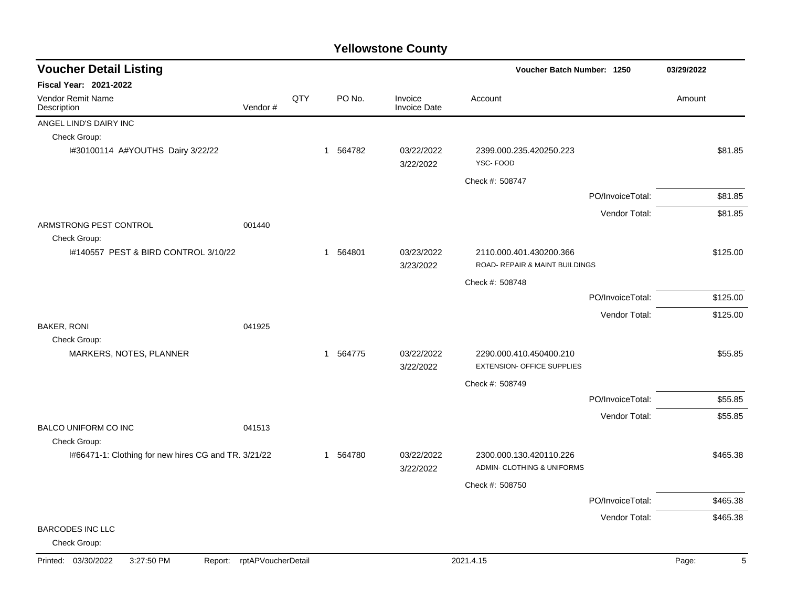| <b>Voucher Detail Listing</b>                        |                    |     |                        |                                | Voucher Batch Number: 1250                            |                  | 03/29/2022 |
|------------------------------------------------------|--------------------|-----|------------------------|--------------------------------|-------------------------------------------------------|------------------|------------|
| <b>Fiscal Year: 2021-2022</b>                        |                    |     |                        |                                |                                                       |                  |            |
| <b>Vendor Remit Name</b><br>Description              | Vendor#            | QTY | PO No.                 | Invoice<br><b>Invoice Date</b> | Account                                               |                  | Amount     |
| ANGEL LIND'S DAIRY INC                               |                    |     |                        |                                |                                                       |                  |            |
| Check Group:                                         |                    |     |                        |                                |                                                       |                  |            |
| I#30100114 A#YOUTHS Dairy 3/22/22                    |                    |     | 1 564782               | 03/22/2022<br>3/22/2022        | 2399.000.235.420250.223<br>YSC-FOOD                   |                  | \$81.85    |
|                                                      |                    |     |                        |                                | Check #: 508747                                       |                  |            |
|                                                      |                    |     |                        |                                |                                                       | PO/InvoiceTotal: | \$81.85    |
|                                                      |                    |     |                        |                                |                                                       | Vendor Total:    | \$81.85    |
| ARMSTRONG PEST CONTROL<br>Check Group:               | 001440             |     |                        |                                |                                                       |                  |            |
| I#140557 PEST & BIRD CONTROL 3/10/22                 |                    |     | 564801<br>$\mathbf{1}$ | 03/23/2022                     | 2110.000.401.430200.366                               |                  | \$125.00   |
|                                                      |                    |     |                        | 3/23/2022                      | ROAD- REPAIR & MAINT BUILDINGS                        |                  |            |
|                                                      |                    |     |                        |                                | Check #: 508748                                       |                  |            |
|                                                      |                    |     |                        |                                |                                                       | PO/InvoiceTotal: | \$125.00   |
|                                                      |                    |     |                        |                                |                                                       | Vendor Total:    | \$125.00   |
| <b>BAKER, RONI</b>                                   | 041925             |     |                        |                                |                                                       |                  |            |
| Check Group:                                         |                    |     |                        |                                |                                                       |                  |            |
| MARKERS, NOTES, PLANNER                              |                    |     | 1 564775               | 03/22/2022<br>3/22/2022        | 2290.000.410.450400.210<br>EXTENSION- OFFICE SUPPLIES |                  | \$55.85    |
|                                                      |                    |     |                        |                                | Check #: 508749                                       |                  |            |
|                                                      |                    |     |                        |                                |                                                       | PO/InvoiceTotal: | \$55.85    |
|                                                      |                    |     |                        |                                |                                                       | Vendor Total:    | \$55.85    |
| <b>BALCO UNIFORM CO INC</b>                          | 041513             |     |                        |                                |                                                       |                  |            |
| Check Group:                                         |                    |     |                        |                                |                                                       |                  |            |
| I#66471-1: Clothing for new hires CG and TR. 3/21/22 |                    |     | 564780<br>1            | 03/22/2022<br>3/22/2022        | 2300.000.130.420110.226<br>ADMIN- CLOTHING & UNIFORMS |                  | \$465.38   |
|                                                      |                    |     |                        |                                | Check #: 508750                                       |                  |            |
|                                                      |                    |     |                        |                                |                                                       | PO/InvoiceTotal: | \$465.38   |
|                                                      |                    |     |                        |                                |                                                       | Vendor Total:    | \$465.38   |
| <b>BARCODES INC LLC</b><br>Check Group:              |                    |     |                        |                                |                                                       |                  |            |
| Printed: 03/30/2022<br>3:27:50 PM<br>Report:         | rptAPVoucherDetail |     |                        |                                | 2021.4.15                                             |                  | Page:<br>5 |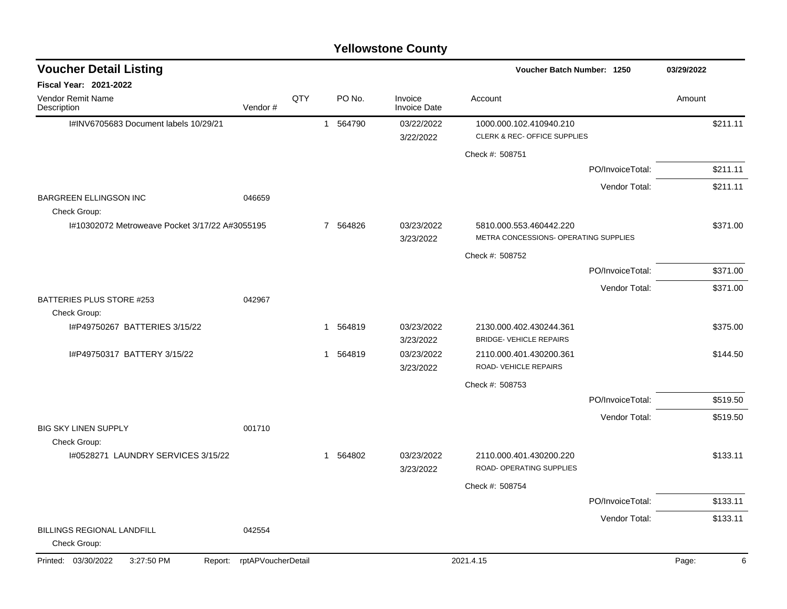| <b>Voucher Detail Listing</b>                  |                    |     |          |                                | Voucher Batch Number: 1250                                       |                  | 03/29/2022 |   |
|------------------------------------------------|--------------------|-----|----------|--------------------------------|------------------------------------------------------------------|------------------|------------|---|
| <b>Fiscal Year: 2021-2022</b>                  |                    |     |          |                                |                                                                  |                  |            |   |
| <b>Vendor Remit Name</b><br>Description        | Vendor#            | QTY | PO No.   | Invoice<br><b>Invoice Date</b> | Account                                                          |                  | Amount     |   |
| I#INV6705683 Document labels 10/29/21          |                    |     | 1 564790 | 03/22/2022<br>3/22/2022        | 1000.000.102.410940.210<br>CLERK & REC- OFFICE SUPPLIES          |                  | \$211.11   |   |
|                                                |                    |     |          |                                | Check #: 508751                                                  |                  |            |   |
|                                                |                    |     |          |                                |                                                                  | PO/InvoiceTotal: | \$211.11   |   |
|                                                |                    |     |          |                                |                                                                  | Vendor Total:    | \$211.11   |   |
| <b>BARGREEN ELLINGSON INC</b><br>Check Group:  | 046659             |     |          |                                |                                                                  |                  |            |   |
| I#10302072 Metroweave Pocket 3/17/22 A#3055195 |                    |     | 7 564826 | 03/23/2022<br>3/23/2022        | 5810.000.553.460442.220<br>METRA CONCESSIONS- OPERATING SUPPLIES |                  | \$371.00   |   |
|                                                |                    |     |          |                                | Check #: 508752                                                  |                  |            |   |
|                                                |                    |     |          |                                |                                                                  | PO/InvoiceTotal: | \$371.00   |   |
|                                                |                    |     |          |                                |                                                                  | Vendor Total:    | \$371.00   |   |
| BATTERIES PLUS STORE #253                      | 042967             |     |          |                                |                                                                  |                  |            |   |
| Check Group:<br>I#P49750267 BATTERIES 3/15/22  |                    |     | 1 564819 | 03/23/2022                     | 2130.000.402.430244.361                                          |                  | \$375.00   |   |
|                                                |                    |     |          | 3/23/2022                      | <b>BRIDGE- VEHICLE REPAIRS</b>                                   |                  |            |   |
| I#P49750317 BATTERY 3/15/22                    |                    |     | 1 564819 | 03/23/2022                     | 2110.000.401.430200.361                                          |                  | \$144.50   |   |
|                                                |                    |     |          | 3/23/2022                      | ROAD-VEHICLE REPAIRS                                             |                  |            |   |
|                                                |                    |     |          |                                | Check #: 508753                                                  |                  |            |   |
|                                                |                    |     |          |                                |                                                                  | PO/InvoiceTotal: | \$519.50   |   |
|                                                |                    |     |          |                                |                                                                  | Vendor Total:    | \$519.50   |   |
| <b>BIG SKY LINEN SUPPLY</b><br>Check Group:    | 001710             |     |          |                                |                                                                  |                  |            |   |
| I#0528271 LAUNDRY SERVICES 3/15/22             |                    |     | 1 564802 | 03/23/2022                     | 2110.000.401.430200.220                                          |                  | \$133.11   |   |
|                                                |                    |     |          | 3/23/2022                      | ROAD- OPERATING SUPPLIES                                         |                  |            |   |
|                                                |                    |     |          |                                | Check #: 508754                                                  |                  |            |   |
|                                                |                    |     |          |                                |                                                                  | PO/InvoiceTotal: | \$133.11   |   |
|                                                |                    |     |          |                                |                                                                  | Vendor Total:    | \$133.11   |   |
| BILLINGS REGIONAL LANDFILL<br>Check Group:     | 042554             |     |          |                                |                                                                  |                  |            |   |
| Printed: 03/30/2022<br>3:27:50 PM<br>Report:   | rptAPVoucherDetail |     |          |                                | 2021.4.15                                                        |                  | Page:      | 6 |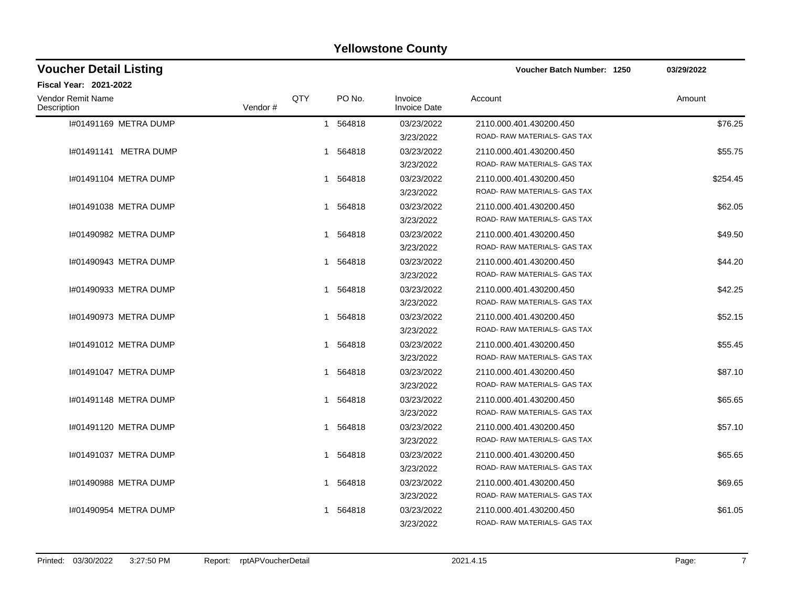| <b>Voucher Detail Listing</b>    |         |     |          |                                | Voucher Batch Number: 1250                              | 03/29/2022 |
|----------------------------------|---------|-----|----------|--------------------------------|---------------------------------------------------------|------------|
| <b>Fiscal Year: 2021-2022</b>    |         |     |          |                                |                                                         |            |
| Vendor Remit Name<br>Description | Vendor# | QTY | PO No.   | Invoice<br><b>Invoice Date</b> | Account                                                 | Amount     |
| 1#01491169 METRA DUMP            |         |     | 1 564818 | 03/23/2022<br>3/23/2022        | 2110.000.401.430200.450<br>ROAD-RAW MATERIALS- GAS TAX  | \$76.25    |
| 1#01491141 METRA DUMP            |         |     | 1 564818 | 03/23/2022<br>3/23/2022        | 2110.000.401.430200.450<br>ROAD- RAW MATERIALS- GAS TAX | \$55.75    |
| 1#01491104 METRA DUMP            |         |     | 1 564818 | 03/23/2022<br>3/23/2022        | 2110.000.401.430200.450<br>ROAD-RAW MATERIALS- GAS TAX  | \$254.45   |
| 1#01491038 METRA DUMP            |         |     | 1 564818 | 03/23/2022<br>3/23/2022        | 2110.000.401.430200.450<br>ROAD-RAW MATERIALS- GAS TAX  | \$62.05    |
| 1#01490982 METRA DUMP            |         |     | 1 564818 | 03/23/2022<br>3/23/2022        | 2110.000.401.430200.450<br>ROAD-RAW MATERIALS- GAS TAX  | \$49.50    |
| 1#01490943 METRA DUMP            |         |     | 1 564818 | 03/23/2022<br>3/23/2022        | 2110.000.401.430200.450<br>ROAD-RAW MATERIALS- GAS TAX  | \$44.20    |
| 1#01490933 METRA DUMP            |         |     | 1 564818 | 03/23/2022<br>3/23/2022        | 2110.000.401.430200.450<br>ROAD-RAW MATERIALS- GAS TAX  | \$42.25    |
| 1#01490973 METRA DUMP            |         |     | 1 564818 | 03/23/2022<br>3/23/2022        | 2110.000.401.430200.450<br>ROAD-RAW MATERIALS- GAS TAX  | \$52.15    |
| 1#01491012 METRA DUMP            |         |     | 1 564818 | 03/23/2022<br>3/23/2022        | 2110.000.401.430200.450<br>ROAD-RAW MATERIALS- GAS TAX  | \$55.45    |
| 1#01491047 METRA DUMP            |         |     | 1 564818 | 03/23/2022<br>3/23/2022        | 2110.000.401.430200.450<br>ROAD-RAW MATERIALS- GAS TAX  | \$87.10    |
| 1#01491148 METRA DUMP            |         |     | 1 564818 | 03/23/2022<br>3/23/2022        | 2110.000.401.430200.450<br>ROAD-RAW MATERIALS-GAS TAX   | \$65.65    |
| 1#01491120 METRA DUMP            |         |     | 1 564818 | 03/23/2022<br>3/23/2022        | 2110.000.401.430200.450<br>ROAD-RAW MATERIALS- GAS TAX  | \$57.10    |
| 1#01491037 METRA DUMP            |         |     | 1 564818 | 03/23/2022<br>3/23/2022        | 2110.000.401.430200.450<br>ROAD-RAW MATERIALS- GAS TAX  | \$65.65    |
| 1#01490988 METRA DUMP            |         |     | 1 564818 | 03/23/2022<br>3/23/2022        | 2110.000.401.430200.450<br>ROAD-RAW MATERIALS- GAS TAX  | \$69.65    |
| 1#01490954 METRA DUMP            |         | 1   | 564818   | 03/23/2022<br>3/23/2022        | 2110.000.401.430200.450<br>ROAD-RAW MATERIALS-GAS TAX   | \$61.05    |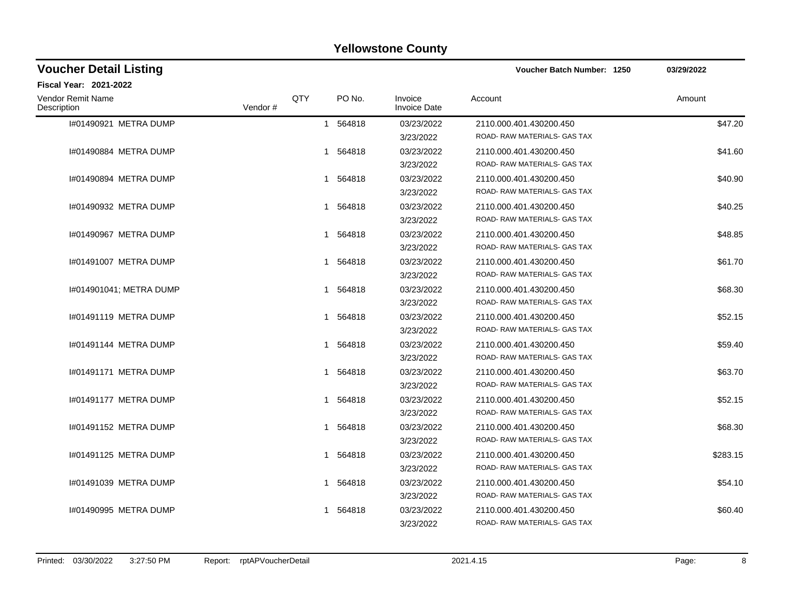| <b>Voucher Detail Listing</b>    |         |     |              |                                | Voucher Batch Number: 1250                              | 03/29/2022 |
|----------------------------------|---------|-----|--------------|--------------------------------|---------------------------------------------------------|------------|
| Fiscal Year: 2021-2022           |         |     |              |                                |                                                         |            |
| Vendor Remit Name<br>Description | Vendor# | QTY | PO No.       | Invoice<br><b>Invoice Date</b> | Account                                                 | Amount     |
| 1#01490921 METRA DUMP            |         |     | 1 564818     | 03/23/2022<br>3/23/2022        | 2110.000.401.430200.450<br>ROAD-RAW MATERIALS- GAS TAX  | \$47.20    |
| I#01490884 METRA DUMP            |         |     | 1 564818     | 03/23/2022<br>3/23/2022        | 2110.000.401.430200.450<br>ROAD-RAW MATERIALS- GAS TAX  | \$41.60    |
| 1#01490894 METRA DUMP            |         |     | 1 564818     | 03/23/2022<br>3/23/2022        | 2110.000.401.430200.450<br>ROAD-RAW MATERIALS-GAS TAX   | \$40.90    |
| 1#01490932 METRA DUMP            |         |     | 1 564818     | 03/23/2022<br>3/23/2022        | 2110.000.401.430200.450<br>ROAD- RAW MATERIALS- GAS TAX | \$40.25    |
| 1#01490967 METRA DUMP            |         |     | 1 564818     | 03/23/2022<br>3/23/2022        | 2110.000.401.430200.450<br>ROAD- RAW MATERIALS- GAS TAX | \$48.85    |
| 1#01491007 METRA DUMP            |         |     | 1 564818     | 03/23/2022<br>3/23/2022        | 2110.000.401.430200.450<br>ROAD- RAW MATERIALS- GAS TAX | \$61.70    |
| 1#014901041; METRA DUMP          |         |     | 1 564818     | 03/23/2022<br>3/23/2022        | 2110.000.401.430200.450<br>ROAD-RAW MATERIALS-GAS TAX   | \$68.30    |
| 1#01491119 METRA DUMP            |         |     | 1 564818     | 03/23/2022<br>3/23/2022        | 2110.000.401.430200.450<br>ROAD-RAW MATERIALS-GAS TAX   | \$52.15    |
| 1#01491144 METRA DUMP            |         |     | 1 564818     | 03/23/2022<br>3/23/2022        | 2110.000.401.430200.450<br>ROAD- RAW MATERIALS- GAS TAX | \$59.40    |
| 1#01491171 METRA DUMP            |         |     | 1 564818     | 03/23/2022<br>3/23/2022        | 2110.000.401.430200.450<br>ROAD- RAW MATERIALS- GAS TAX | \$63.70    |
| 1#01491177 METRA DUMP            |         |     | 1 564818     | 03/23/2022<br>3/23/2022        | 2110.000.401.430200.450<br>ROAD- RAW MATERIALS- GAS TAX | \$52.15    |
| 1#01491152 METRA DUMP            |         |     | 1 564818     | 03/23/2022<br>3/23/2022        | 2110.000.401.430200.450<br>ROAD-RAW MATERIALS-GAS TAX   | \$68.30    |
| 1#01491125 METRA DUMP            |         |     | 1 564818     | 03/23/2022<br>3/23/2022        | 2110.000.401.430200.450<br>ROAD- RAW MATERIALS- GAS TAX | \$283.15   |
| 1#01491039 METRA DUMP            |         |     | 1 564818     | 03/23/2022<br>3/23/2022        | 2110.000.401.430200.450<br>ROAD-RAW MATERIALS- GAS TAX  | \$54.10    |
| 1#01490995 METRA DUMP            |         |     | 564818<br>1. | 03/23/2022<br>3/23/2022        | 2110.000.401.430200.450<br>ROAD-RAW MATERIALS-GAS TAX   | \$60.40    |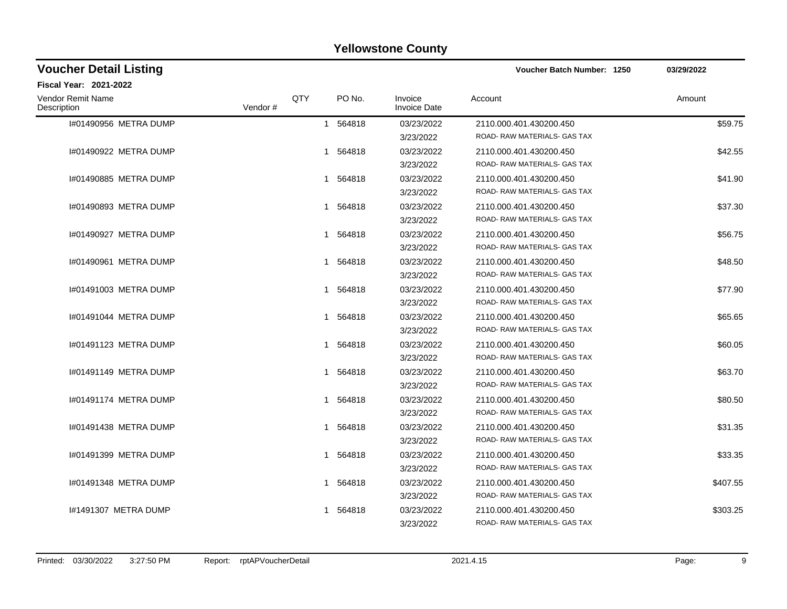| <b>Voucher Detail Listing</b>    |         |     |          |                                | Voucher Batch Number: 1250                             | 03/29/2022 |
|----------------------------------|---------|-----|----------|--------------------------------|--------------------------------------------------------|------------|
| Fiscal Year: 2021-2022           |         |     |          |                                |                                                        |            |
| Vendor Remit Name<br>Description | Vendor# | QTY | PO No.   | Invoice<br><b>Invoice Date</b> | Account                                                | Amount     |
| I#01490956 METRA DUMP            |         |     | 1 564818 | 03/23/2022<br>3/23/2022        | 2110.000.401.430200.450<br>ROAD-RAW MATERIALS- GAS TAX | \$59.75    |
| 1#01490922 METRA DUMP            |         |     | 1 564818 | 03/23/2022<br>3/23/2022        | 2110.000.401.430200.450<br>ROAD-RAW MATERIALS- GAS TAX | \$42.55    |
| 1#01490885 METRA DUMP            |         |     | 1 564818 | 03/23/2022<br>3/23/2022        | 2110.000.401.430200.450<br>ROAD-RAW MATERIALS- GAS TAX | \$41.90    |
| 1#01490893 METRA DUMP            |         |     | 1 564818 | 03/23/2022<br>3/23/2022        | 2110.000.401.430200.450<br>ROAD-RAW MATERIALS- GAS TAX | \$37.30    |
| 1#01490927 METRA DUMP            |         |     | 1 564818 | 03/23/2022<br>3/23/2022        | 2110.000.401.430200.450<br>ROAD-RAW MATERIALS- GAS TAX | \$56.75    |
| 1#01490961 METRA DUMP            |         |     | 1 564818 | 03/23/2022<br>3/23/2022        | 2110.000.401.430200.450<br>ROAD-RAW MATERIALS- GAS TAX | \$48.50    |
| 1#01491003 METRA DUMP            |         |     | 1 564818 | 03/23/2022<br>3/23/2022        | 2110.000.401.430200.450<br>ROAD-RAW MATERIALS- GAS TAX | \$77.90    |
| 1#01491044 METRA DUMP            |         |     | 1 564818 | 03/23/2022<br>3/23/2022        | 2110.000.401.430200.450<br>ROAD-RAW MATERIALS- GAS TAX | \$65.65    |
| 1#01491123 METRA DUMP            |         |     | 1 564818 | 03/23/2022<br>3/23/2022        | 2110.000.401.430200.450<br>ROAD-RAW MATERIALS- GAS TAX | \$60.05    |
| 1#01491149 METRA DUMP            |         |     | 1 564818 | 03/23/2022<br>3/23/2022        | 2110.000.401.430200.450<br>ROAD-RAW MATERIALS- GAS TAX | \$63.70    |
| 1#01491174 METRA DUMP            |         |     | 1 564818 | 03/23/2022<br>3/23/2022        | 2110.000.401.430200.450<br>ROAD-RAW MATERIALS- GAS TAX | \$80.50    |
| 1#01491438 METRA DUMP            |         |     | 1 564818 | 03/23/2022<br>3/23/2022        | 2110.000.401.430200.450<br>ROAD-RAW MATERIALS- GAS TAX | \$31.35    |
| 1#01491399 METRA DUMP            |         |     | 1 564818 | 03/23/2022<br>3/23/2022        | 2110.000.401.430200.450<br>ROAD-RAW MATERIALS- GAS TAX | \$33.35    |
| I#01491348 METRA DUMP            |         |     | 1 564818 | 03/23/2022<br>3/23/2022        | 2110.000.401.430200.450<br>ROAD-RAW MATERIALS- GAS TAX | \$407.55   |
| 1#1491307 METRA DUMP             |         | 1   | 564818   | 03/23/2022<br>3/23/2022        | 2110.000.401.430200.450<br>ROAD-RAW MATERIALS-GAS TAX  | \$303.25   |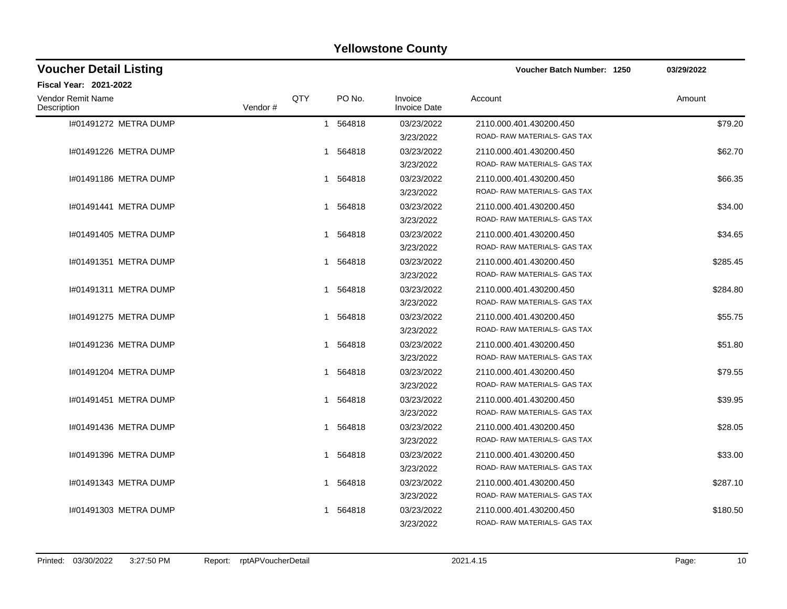| <b>Voucher Detail Listing</b>    |         |            |          |                                | Voucher Batch Number: 1250                              | 03/29/2022 |
|----------------------------------|---------|------------|----------|--------------------------------|---------------------------------------------------------|------------|
| Fiscal Year: 2021-2022           |         |            |          |                                |                                                         |            |
| Vendor Remit Name<br>Description | Vendor# | <b>QTY</b> | PO No.   | Invoice<br><b>Invoice Date</b> | Account                                                 | Amount     |
| I#01491272 METRA DUMP            |         |            | 1 564818 | 03/23/2022<br>3/23/2022        | 2110.000.401.430200.450<br>ROAD-RAW MATERIALS-GAS TAX   | \$79.20    |
| 1#01491226 METRA DUMP            |         | 1          | 564818   | 03/23/2022<br>3/23/2022        | 2110.000.401.430200.450<br>ROAD-RAW MATERIALS- GAS TAX  | \$62.70    |
| 1#01491186 METRA DUMP            |         |            | 1 564818 | 03/23/2022<br>3/23/2022        | 2110.000.401.430200.450<br>ROAD-RAW MATERIALS-GAS TAX   | \$66.35    |
| 1#01491441 METRA DUMP            |         | 1          | 564818   | 03/23/2022<br>3/23/2022        | 2110.000.401.430200.450<br>ROAD- RAW MATERIALS- GAS TAX | \$34.00    |
| 1#01491405 METRA DUMP            |         |            | 1 564818 | 03/23/2022<br>3/23/2022        | 2110.000.401.430200.450<br>ROAD- RAW MATERIALS- GAS TAX | \$34.65    |
| 1#01491351 METRA DUMP            |         | 1          | 564818   | 03/23/2022<br>3/23/2022        | 2110.000.401.430200.450<br>ROAD- RAW MATERIALS- GAS TAX | \$285.45   |
| 1#01491311 METRA DUMP            |         |            | 1 564818 | 03/23/2022<br>3/23/2022        | 2110.000.401.430200.450<br>ROAD-RAW MATERIALS-GAS TAX   | \$284.80   |
| 1#01491275 METRA DUMP            |         |            | 1 564818 | 03/23/2022<br>3/23/2022        | 2110.000.401.430200.450<br>ROAD-RAW MATERIALS-GAS TAX   | \$55.75    |
| 1#01491236 METRA DUMP            |         |            | 1 564818 | 03/23/2022<br>3/23/2022        | 2110.000.401.430200.450<br>ROAD- RAW MATERIALS- GAS TAX | \$51.80    |
| 1#01491204 METRA DUMP            |         |            | 1 564818 | 03/23/2022<br>3/23/2022        | 2110.000.401.430200.450<br>ROAD- RAW MATERIALS- GAS TAX | \$79.55    |
| 1#01491451 METRA DUMP            |         |            | 1 564818 | 03/23/2022<br>3/23/2022        | 2110.000.401.430200.450<br>ROAD- RAW MATERIALS- GAS TAX | \$39.95    |
| 1#01491436 METRA DUMP            |         |            | 1 564818 | 03/23/2022<br>3/23/2022        | 2110.000.401.430200.450<br>ROAD-RAW MATERIALS-GAS TAX   | \$28.05    |
| 1#01491396 METRA DUMP            |         | 1          | 564818   | 03/23/2022<br>3/23/2022        | 2110.000.401.430200.450<br>ROAD- RAW MATERIALS- GAS TAX | \$33.00    |
| 1#01491343 METRA DUMP            |         | 1          | 564818   | 03/23/2022<br>3/23/2022        | 2110.000.401.430200.450<br>ROAD-RAW MATERIALS- GAS TAX  | \$287.10   |
| 1#01491303 METRA DUMP            |         | 1          | 564818   | 03/23/2022<br>3/23/2022        | 2110.000.401.430200.450<br>ROAD-RAW MATERIALS-GAS TAX   | \$180.50   |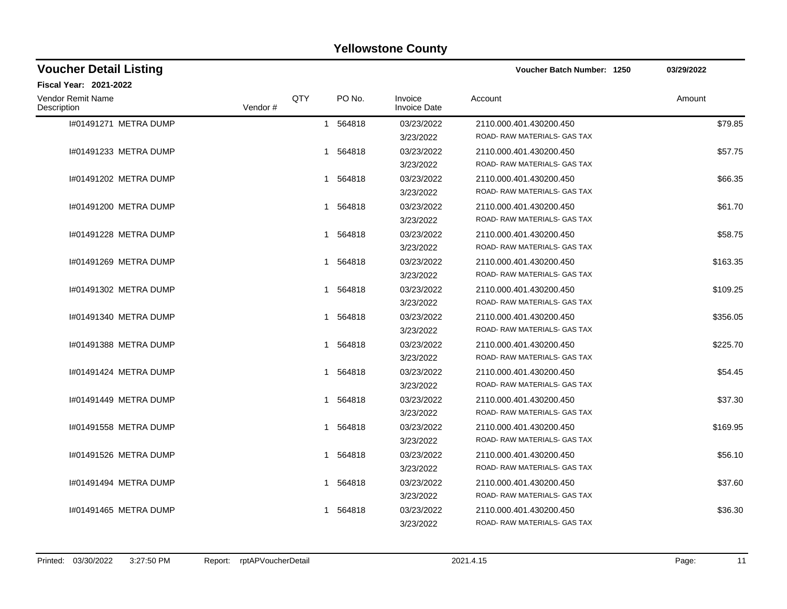| <b>Voucher Detail Listing</b>    |         |     |          |                                | Voucher Batch Number: 1250                              | 03/29/2022 |
|----------------------------------|---------|-----|----------|--------------------------------|---------------------------------------------------------|------------|
| <b>Fiscal Year: 2021-2022</b>    |         |     |          |                                |                                                         |            |
| Vendor Remit Name<br>Description | Vendor# | QTY | PO No.   | Invoice<br><b>Invoice Date</b> | Account                                                 | Amount     |
| I#01491271 METRA DUMP            |         |     | 1 564818 | 03/23/2022<br>3/23/2022        | 2110.000.401.430200.450<br>ROAD- RAW MATERIALS- GAS TAX | \$79.85    |
| I#01491233 METRA DUMP            |         |     | 1 564818 | 03/23/2022<br>3/23/2022        | 2110.000.401.430200.450<br>ROAD-RAW MATERIALS- GAS TAX  | \$57.75    |
| 1#01491202 METRA DUMP            |         |     | 1 564818 | 03/23/2022<br>3/23/2022        | 2110.000.401.430200.450<br>ROAD-RAW MATERIALS-GAS TAX   | \$66.35    |
| 1#01491200 METRA DUMP            |         |     | 1 564818 | 03/23/2022<br>3/23/2022        | 2110.000.401.430200.450<br>ROAD- RAW MATERIALS- GAS TAX | \$61.70    |
| 1#01491228 METRA DUMP            |         |     | 1 564818 | 03/23/2022<br>3/23/2022        | 2110.000.401.430200.450<br>ROAD- RAW MATERIALS- GAS TAX | \$58.75    |
| 1#01491269 METRA DUMP            |         |     | 1 564818 | 03/23/2022<br>3/23/2022        | 2110.000.401.430200.450<br>ROAD- RAW MATERIALS- GAS TAX | \$163.35   |
| 1#01491302 METRA DUMP            |         |     | 1 564818 | 03/23/2022<br>3/23/2022        | 2110.000.401.430200.450<br>ROAD-RAW MATERIALS-GAS TAX   | \$109.25   |
| 1#01491340 METRA DUMP            |         |     | 1 564818 | 03/23/2022<br>3/23/2022        | 2110.000.401.430200.450<br>ROAD-RAW MATERIALS-GAS TAX   | \$356.05   |
| 1#01491388 METRA DUMP            |         |     | 1 564818 | 03/23/2022<br>3/23/2022        | 2110.000.401.430200.450<br>ROAD-RAW MATERIALS- GAS TAX  | \$225.70   |
| 1#01491424 METRA DUMP            |         |     | 1 564818 | 03/23/2022<br>3/23/2022        | 2110.000.401.430200.450<br>ROAD- RAW MATERIALS- GAS TAX | \$54.45    |
| 1#01491449 METRA DUMP            |         |     | 1 564818 | 03/23/2022<br>3/23/2022        | 2110.000.401.430200.450<br>ROAD-RAW MATERIALS- GAS TAX  | \$37.30    |
| 1#01491558 METRA DUMP            |         |     | 1 564818 | 03/23/2022<br>3/23/2022        | 2110.000.401.430200.450<br>ROAD- RAW MATERIALS- GAS TAX | \$169.95   |
| 1#01491526 METRA DUMP            |         |     | 1 564818 | 03/23/2022<br>3/23/2022        | 2110.000.401.430200.450<br>ROAD-RAW MATERIALS- GAS TAX  | \$56.10    |
| 1#01491494 METRA DUMP            |         |     | 1 564818 | 03/23/2022<br>3/23/2022        | 2110.000.401.430200.450<br>ROAD-RAW MATERIALS- GAS TAX  | \$37.60    |
| 1#01491465 METRA DUMP            |         |     | 564818   | 03/23/2022<br>3/23/2022        | 2110.000.401.430200.450<br>ROAD-RAW MATERIALS-GAS TAX   | \$36.30    |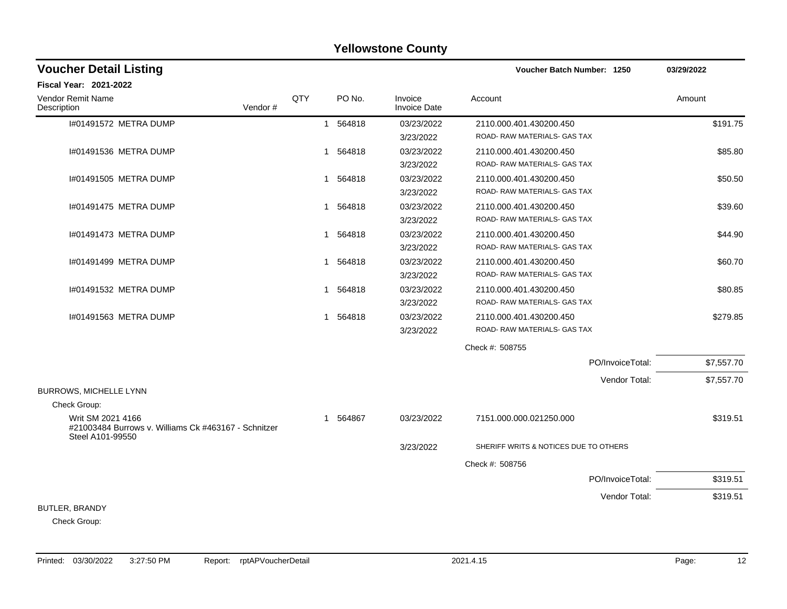### I#01491572 METRA DUMP 1 564818 03/23/2022 2110.000.401.430200.450 \$191.75 3/23/2022 ROAD- RAW MATERIALS- GAS TAX I#01491536 METRA DUMP \$85.80 (\$85.80 ) \$95.80 (\$95.80 ) \$95.80 (\$95.80 ) \$95.80 (\$95.80 ) \$95.80 (\$95.80 ) \$95 3/23/2022 ROAD- RAW MATERIALS- GAS TAX 1#01491505 METRA DUMP 1 564818 1 564818 03/23/2022 2110.000.401.430200.450 3/23/2022 ROAD- RAW MATERIALS- GAS TAX I#01491475 METRA DUMP \$39.60 3/23/2022 ROAD- RAW MATERIALS- GAS TAX 1#01491473 METRA DUMP 644.90 3/23/2022 ROAD- RAW MATERIALS- GAS TAX 1#01491499 METRA DUMP 1 560.70 1 564818 03/23/2022 2110.000.401.430200.450 3/23/2022 ROAD- RAW MATERIALS- GAS TAX 1#01491532 METRA DUMP \$80.85 \$80.85 (\$90.85 ) 1 564818 03/23/2022 2110.000.401.430200.450 3/23/2022 ROAD- RAW MATERIALS- GAS TAX I#01491563 METRA DUMP 1 564818 03/23/2022 2110.000.401.430200.450 \$279.85 3/23/2022 ROAD- RAW MATERIALS- GAS TAX Check #: 508755 PO/InvoiceTotal: \$7,557.70 Vendor Total: \$7,557.70 BURROWS, MICHELLE LYNN Check Group: Writ SM 2021 4166 #21003484 Burrows v. Williams Ck #463167 - Schnitzer Steel A101-99550 1 564867 03/23/2022 7151.000.000.021250.000 \$319.51 3/23/2022 SHERIFF WRITS & NOTICES DUE TO OTHERS Check #: 508756 PO/InvoiceTotal: \$319.51 Vendor Total: \$319.51 BUTLER, BRANDY **Voucher Batch Number: Yellowstone County** Vendor Remit Name **Description Voucher Detail Listing Fiscal Year: 2021-2022 1250 03/29/2022** PO No. Invoice Account Amount Amount Amount Amount Vendor # **QTY** Invoice Date

Check Group: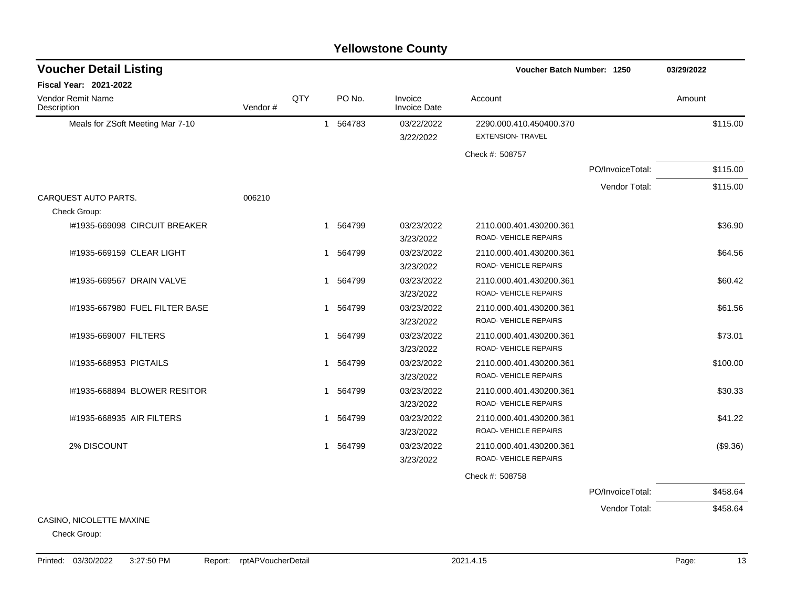| <b>Yellowstone County</b> |  |
|---------------------------|--|
|---------------------------|--|

| <b>Voucher Detail Listing</b>        |         |     |                        |                                | Voucher Batch Number: 1250                          |                  | 03/29/2022 |
|--------------------------------------|---------|-----|------------------------|--------------------------------|-----------------------------------------------------|------------------|------------|
| Fiscal Year: 2021-2022               |         |     |                        |                                |                                                     |                  |            |
| Vendor Remit Name<br>Description     | Vendor# | QTY | PO No.                 | Invoice<br><b>Invoice Date</b> | Account                                             |                  | Amount     |
| Meals for ZSoft Meeting Mar 7-10     |         |     | 1 564783               | 03/22/2022<br>3/22/2022        | 2290.000.410.450400.370<br><b>EXTENSION- TRAVEL</b> |                  | \$115.00   |
|                                      |         |     |                        |                                | Check #: 508757                                     |                  |            |
|                                      |         |     |                        |                                |                                                     | PO/InvoiceTotal: | \$115.00   |
|                                      |         |     |                        |                                |                                                     | Vendor Total:    | \$115.00   |
| CARQUEST AUTO PARTS.<br>Check Group: | 006210  |     |                        |                                |                                                     |                  |            |
| 1#1935-669098 CIRCUIT BREAKER        |         |     | 1 564799               | 03/23/2022<br>3/23/2022        | 2110.000.401.430200.361<br>ROAD-VEHICLE REPAIRS     |                  | \$36.90    |
| I#1935-669159 CLEAR LIGHT            |         |     | 1 564799               | 03/23/2022<br>3/23/2022        | 2110.000.401.430200.361<br>ROAD-VEHICLE REPAIRS     |                  | \$64.56    |
| I#1935-669567 DRAIN VALVE            |         |     | 1 564799               | 03/23/2022<br>3/23/2022        | 2110.000.401.430200.361<br>ROAD-VEHICLE REPAIRS     |                  | \$60.42    |
| I#1935-667980 FUEL FILTER BASE       |         |     | 1 564799               | 03/23/2022<br>3/23/2022        | 2110.000.401.430200.361<br>ROAD- VEHICLE REPAIRS    |                  | \$61.56    |
| I#1935-669007 FILTERS                |         |     | 564799<br>$\mathbf{1}$ | 03/23/2022<br>3/23/2022        | 2110.000.401.430200.361<br>ROAD-VEHICLE REPAIRS     |                  | \$73.01    |
| I#1935-668953 PIGTAILS               |         |     | 1 564799               | 03/23/2022<br>3/23/2022        | 2110.000.401.430200.361<br>ROAD-VEHICLE REPAIRS     |                  | \$100.00   |
| I#1935-668894 BLOWER RESITOR         |         |     | 1 564799               | 03/23/2022<br>3/23/2022        | 2110.000.401.430200.361<br>ROAD-VEHICLE REPAIRS     |                  | \$30.33    |
| I#1935-668935 AIR FILTERS            |         |     | 1 564799               | 03/23/2022<br>3/23/2022        | 2110.000.401.430200.361<br>ROAD-VEHICLE REPAIRS     |                  | \$41.22    |
| 2% DISCOUNT                          |         |     | 1 564799               | 03/23/2022<br>3/23/2022        | 2110.000.401.430200.361<br>ROAD- VEHICLE REPAIRS    |                  | (\$9.36)   |
|                                      |         |     |                        |                                | Check #: 508758                                     |                  |            |
|                                      |         |     |                        |                                |                                                     | PO/InvoiceTotal: | \$458.64   |
| CASINO. NICOLETTE MAXINE             |         |     |                        |                                |                                                     | Vendor Total:    | \$458.64   |

Check Group: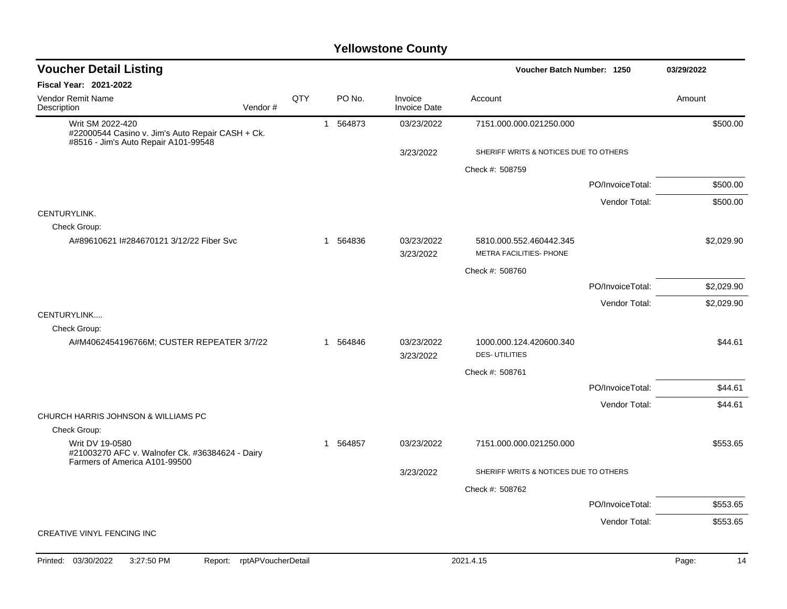| <b>Voucher Detail Listing</b>                                                                                       |     |             |                                | Voucher Batch Number: 1250                         |                  | 03/29/2022 |
|---------------------------------------------------------------------------------------------------------------------|-----|-------------|--------------------------------|----------------------------------------------------|------------------|------------|
| Fiscal Year: 2021-2022                                                                                              |     |             |                                |                                                    |                  |            |
| <b>Vendor Remit Name</b><br>Description<br>Vendor#                                                                  | QTY | PO No.      | Invoice<br><b>Invoice Date</b> | Account                                            |                  | Amount     |
| Writ SM 2022-420<br>#22000544 Casino v. Jim's Auto Repair CASH + Ck.<br>#8516 - Jim's Auto Repair A101-99548        |     | 1 564873    | 03/23/2022                     | 7151.000.000.021250.000                            |                  | \$500.00   |
|                                                                                                                     |     |             | 3/23/2022                      | SHERIFF WRITS & NOTICES DUE TO OTHERS              |                  |            |
|                                                                                                                     |     |             |                                | Check #: 508759                                    |                  |            |
|                                                                                                                     |     |             |                                |                                                    | PO/InvoiceTotal: | \$500.00   |
|                                                                                                                     |     |             |                                |                                                    | Vendor Total:    | \$500.00   |
| CENTURYLINK.<br>Check Group:                                                                                        |     |             |                                |                                                    |                  |            |
| A#89610621 I#284670121 3/12/22 Fiber Svc                                                                            |     | 1 564836    | 03/23/2022<br>3/23/2022        | 5810.000.552.460442.345<br>METRA FACILITIES- PHONE |                  | \$2,029.90 |
|                                                                                                                     |     |             |                                | Check #: 508760                                    |                  |            |
|                                                                                                                     |     |             |                                |                                                    | PO/InvoiceTotal: | \$2,029.90 |
|                                                                                                                     |     |             |                                |                                                    | Vendor Total:    | \$2,029.90 |
| CENTURYLINK<br>Check Group:                                                                                         |     |             |                                |                                                    |                  |            |
| A#M4062454196766M; CUSTER REPEATER 3/7/22                                                                           |     | 1 564846    | 03/23/2022<br>3/23/2022        | 1000.000.124.420600.340<br><b>DES-UTILITIES</b>    |                  | \$44.61    |
|                                                                                                                     |     |             |                                | Check #: 508761                                    |                  |            |
|                                                                                                                     |     |             |                                |                                                    | PO/InvoiceTotal: | \$44.61    |
|                                                                                                                     |     |             |                                |                                                    | Vendor Total:    | \$44.61    |
| CHURCH HARRIS JOHNSON & WILLIAMS PC                                                                                 |     |             |                                |                                                    |                  |            |
| Check Group:<br>Writ DV 19-0580<br>#21003270 AFC v. Walnofer Ck. #36384624 - Dairy<br>Farmers of America A101-99500 |     | 564857<br>1 | 03/23/2022                     | 7151.000.000.021250.000                            |                  | \$553.65   |
|                                                                                                                     |     |             | 3/23/2022                      | SHERIFF WRITS & NOTICES DUE TO OTHERS              |                  |            |
|                                                                                                                     |     |             |                                | Check #: 508762                                    |                  |            |
|                                                                                                                     |     |             |                                |                                                    | PO/InvoiceTotal: | \$553.65   |
|                                                                                                                     |     |             |                                |                                                    | Vendor Total:    | \$553.65   |
| <b>CREATIVE VINYL FENCING INC</b>                                                                                   |     |             |                                |                                                    |                  |            |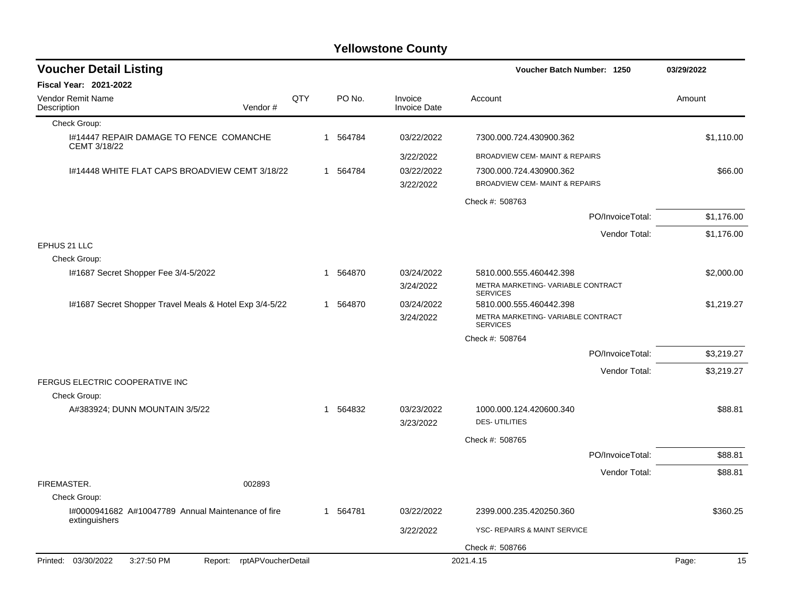| <b>Voucher Detail Listing</b>                                       |     |    |          |                                | Voucher Batch Number: 1250                                    |                  | 03/29/2022  |
|---------------------------------------------------------------------|-----|----|----------|--------------------------------|---------------------------------------------------------------|------------------|-------------|
| <b>Fiscal Year: 2021-2022</b>                                       |     |    |          |                                |                                                               |                  |             |
| <b>Vendor Remit Name</b><br>Vendor#<br>Description                  | QTY |    | PO No.   | Invoice<br><b>Invoice Date</b> | Account                                                       |                  | Amount      |
| Check Group:                                                        |     |    |          |                                |                                                               |                  |             |
| 1#14447 REPAIR DAMAGE TO FENCE COMANCHE<br>CEMT 3/18/22             |     |    | 1 564784 | 03/22/2022                     | 7300.000.724.430900.362                                       |                  | \$1,110.00  |
|                                                                     |     |    |          | 3/22/2022                      | BROADVIEW CEM- MAINT & REPAIRS                                |                  |             |
| 1#14448 WHITE FLAT CAPS BROADVIEW CEMT 3/18/22                      |     |    | 1 564784 | 03/22/2022                     | 7300.000.724.430900.362                                       |                  | \$66.00     |
|                                                                     |     |    |          | 3/22/2022                      | BROADVIEW CEM- MAINT & REPAIRS                                |                  |             |
|                                                                     |     |    |          |                                | Check #: 508763                                               |                  |             |
|                                                                     |     |    |          |                                |                                                               | PO/InvoiceTotal: | \$1,176.00  |
|                                                                     |     |    |          |                                |                                                               | Vendor Total:    | \$1,176.00  |
| EPHUS 21 LLC                                                        |     |    |          |                                |                                                               |                  |             |
| Check Group:                                                        |     |    |          |                                |                                                               |                  |             |
| I#1687 Secret Shopper Fee 3/4-5/2022                                |     |    | 1 564870 | 03/24/2022<br>3/24/2022        | 5810.000.555.460442.398<br>METRA MARKETING- VARIABLE CONTRACT |                  | \$2,000.00  |
|                                                                     |     |    |          |                                | <b>SERVICES</b>                                               |                  |             |
| I#1687 Secret Shopper Travel Meals & Hotel Exp 3/4-5/22             |     | 1. | 564870   | 03/24/2022                     | 5810.000.555.460442.398                                       |                  | \$1,219.27  |
|                                                                     |     |    |          | 3/24/2022                      | METRA MARKETING- VARIABLE CONTRACT<br><b>SERVICES</b>         |                  |             |
|                                                                     |     |    |          |                                | Check #: 508764                                               |                  |             |
|                                                                     |     |    |          |                                |                                                               | PO/InvoiceTotal: | \$3,219.27  |
|                                                                     |     |    |          |                                |                                                               | Vendor Total:    | \$3,219.27  |
| FERGUS ELECTRIC COOPERATIVE INC                                     |     |    |          |                                |                                                               |                  |             |
| Check Group:                                                        |     |    |          |                                |                                                               |                  |             |
| A#383924; DUNN MOUNTAIN 3/5/22                                      |     |    | 1 564832 | 03/23/2022<br>3/23/2022        | 1000.000.124.420600.340<br><b>DES-UTILITIES</b>               |                  | \$88.81     |
|                                                                     |     |    |          |                                | Check #: 508765                                               |                  |             |
|                                                                     |     |    |          |                                |                                                               | PO/InvoiceTotal: | \$88.81     |
|                                                                     |     |    |          |                                |                                                               | Vendor Total:    | \$88.81     |
| FIREMASTER.<br>002893                                               |     |    |          |                                |                                                               |                  |             |
| Check Group:                                                        |     |    |          |                                |                                                               |                  |             |
| I#0000941682 A#10047789 Annual Maintenance of fire<br>extinguishers |     |    | 1 564781 | 03/22/2022                     | 2399.000.235.420250.360                                       |                  | \$360.25    |
|                                                                     |     |    |          | 3/22/2022                      | YSC- REPAIRS & MAINT SERVICE                                  |                  |             |
|                                                                     |     |    |          |                                | Check #: 508766                                               |                  |             |
| Printed: 03/30/2022<br>3:27:50 PM<br>Report: rptAPVoucherDetail     |     |    |          |                                | 2021.4.15                                                     |                  | Page:<br>15 |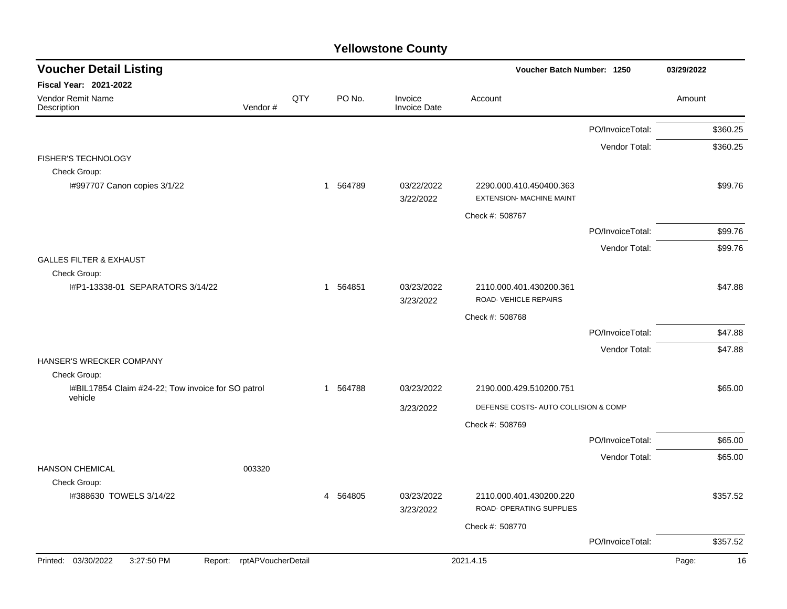| <b>Voucher Detail Listing</b>                                 |                            |     |                        |                                | Voucher Batch Number: 1250                                 |                  | 03/29/2022  |
|---------------------------------------------------------------|----------------------------|-----|------------------------|--------------------------------|------------------------------------------------------------|------------------|-------------|
| Fiscal Year: 2021-2022                                        |                            |     |                        |                                |                                                            |                  |             |
| Vendor Remit Name<br>Description                              | Vendor#                    | QTY | PO No.                 | Invoice<br><b>Invoice Date</b> | Account                                                    |                  | Amount      |
|                                                               |                            |     |                        |                                |                                                            | PO/InvoiceTotal: | \$360.25    |
|                                                               |                            |     |                        |                                |                                                            | Vendor Total:    | \$360.25    |
| <b>FISHER'S TECHNOLOGY</b>                                    |                            |     |                        |                                |                                                            |                  |             |
| Check Group:                                                  |                            |     |                        |                                |                                                            |                  |             |
| I#997707 Canon copies 3/1/22                                  |                            |     | 1 564789               | 03/22/2022<br>3/22/2022        | 2290.000.410.450400.363<br><b>EXTENSION- MACHINE MAINT</b> |                  | \$99.76     |
|                                                               |                            |     |                        |                                | Check #: 508767                                            |                  |             |
|                                                               |                            |     |                        |                                |                                                            | PO/InvoiceTotal: | \$99.76     |
|                                                               |                            |     |                        |                                |                                                            | Vendor Total:    | \$99.76     |
| <b>GALLES FILTER &amp; EXHAUST</b>                            |                            |     |                        |                                |                                                            |                  |             |
| Check Group:                                                  |                            |     |                        |                                |                                                            |                  |             |
| I#P1-13338-01 SEPARATORS 3/14/22                              |                            |     | 1 564851               | 03/23/2022<br>3/23/2022        | 2110.000.401.430200.361<br>ROAD- VEHICLE REPAIRS           |                  | \$47.88     |
|                                                               |                            |     |                        |                                | Check #: 508768                                            |                  |             |
|                                                               |                            |     |                        |                                |                                                            | PO/InvoiceTotal: | \$47.88     |
|                                                               |                            |     |                        |                                |                                                            | Vendor Total:    | \$47.88     |
| HANSER'S WRECKER COMPANY                                      |                            |     |                        |                                |                                                            |                  |             |
| Check Group:                                                  |                            |     |                        |                                |                                                            |                  |             |
| I#BIL17854 Claim #24-22; Tow invoice for SO patrol<br>vehicle |                            |     | 564788<br>$\mathbf{1}$ | 03/23/2022                     | 2190.000.429.510200.751                                    |                  | \$65.00     |
|                                                               |                            |     |                        | 3/23/2022                      | DEFENSE COSTS- AUTO COLLISION & COMP                       |                  |             |
|                                                               |                            |     |                        |                                | Check #: 508769                                            |                  |             |
|                                                               |                            |     |                        |                                |                                                            | PO/InvoiceTotal: | \$65.00     |
|                                                               |                            |     |                        |                                |                                                            | Vendor Total:    | \$65.00     |
| <b>HANSON CHEMICAL</b>                                        | 003320                     |     |                        |                                |                                                            |                  |             |
| Check Group:                                                  |                            |     |                        |                                |                                                            |                  |             |
| 1#388630 TOWELS 3/14/22                                       |                            |     | 4 564805               | 03/23/2022<br>3/23/2022        | 2110.000.401.430200.220<br>ROAD- OPERATING SUPPLIES        |                  | \$357.52    |
|                                                               |                            |     |                        |                                | Check #: 508770                                            |                  |             |
|                                                               |                            |     |                        |                                |                                                            | PO/InvoiceTotal: | \$357.52    |
| Printed: 03/30/2022<br>3:27:50 PM                             | Report: rptAPVoucherDetail |     |                        |                                | 2021.4.15                                                  |                  | Page:<br>16 |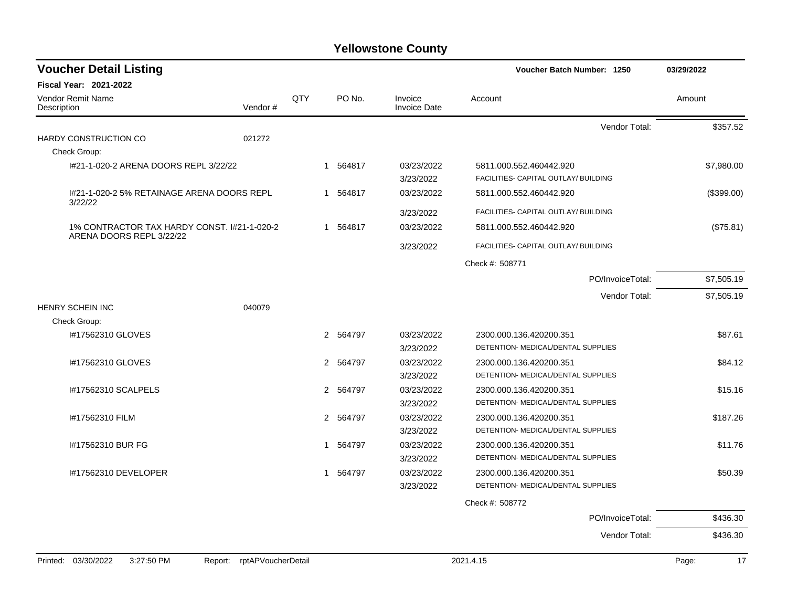| <b>Voucher Detail Listing</b>               |                            |              |          |                                | Voucher Batch Number: 1250                                      | 03/29/2022  |
|---------------------------------------------|----------------------------|--------------|----------|--------------------------------|-----------------------------------------------------------------|-------------|
| <b>Fiscal Year: 2021-2022</b>               |                            |              |          |                                |                                                                 |             |
| <b>Vendor Remit Name</b><br>Description     | Vendor#                    | QTY          | PO No.   | Invoice<br><b>Invoice Date</b> | Account                                                         | Amount      |
|                                             |                            |              |          |                                | Vendor Total:                                                   | \$357.52    |
| HARDY CONSTRUCTION CO                       | 021272                     |              |          |                                |                                                                 |             |
| Check Group:                                |                            |              |          |                                |                                                                 |             |
| 1#21-1-020-2 ARENA DOORS REPL 3/22/22       |                            |              | 1 564817 | 03/23/2022<br>3/23/2022        | 5811.000.552.460442.920<br>FACILITIES- CAPITAL OUTLAY/ BUILDING | \$7,980.00  |
| I#21-1-020-2 5% RETAINAGE ARENA DOORS REPL  |                            |              | 1 564817 | 03/23/2022                     | 5811.000.552.460442.920                                         | (\$399.00)  |
| 3/22/22                                     |                            |              |          | 3/23/2022                      | FACILITIES- CAPITAL OUTLAY/ BUILDING                            |             |
| 1% CONTRACTOR TAX HARDY CONST. 1#21-1-020-2 |                            |              | 1 564817 | 03/23/2022                     | 5811.000.552.460442.920                                         | (\$75.81)   |
| ARENA DOORS REPL 3/22/22                    |                            |              |          | 3/23/2022                      | FACILITIES- CAPITAL OUTLAY/ BUILDING                            |             |
|                                             |                            |              |          |                                | Check #: 508771                                                 |             |
|                                             |                            |              |          |                                | PO/InvoiceTotal:                                                | \$7,505.19  |
|                                             |                            |              |          |                                | Vendor Total:                                                   | \$7,505.19  |
| <b>HENRY SCHEIN INC</b>                     | 040079                     |              |          |                                |                                                                 |             |
| Check Group:                                |                            |              |          |                                |                                                                 |             |
| #17562310 GLOVES                            |                            |              | 2 564797 | 03/23/2022                     | 2300.000.136.420200.351                                         | \$87.61     |
|                                             |                            |              |          | 3/23/2022                      | DETENTION- MEDICAL/DENTAL SUPPLIES                              |             |
| I#17562310 GLOVES                           |                            |              | 2 564797 | 03/23/2022                     | 2300.000.136.420200.351                                         | \$84.12     |
|                                             |                            |              |          | 3/23/2022                      | DETENTION- MEDICAL/DENTAL SUPPLIES                              |             |
| I#17562310 SCALPELS                         |                            |              | 2 564797 | 03/23/2022                     | 2300.000.136.420200.351                                         | \$15.16     |
|                                             |                            |              |          | 3/23/2022                      | DETENTION- MEDICAL/DENTAL SUPPLIES                              |             |
| I#17562310 FILM                             |                            |              | 2 564797 | 03/23/2022                     | 2300.000.136.420200.351                                         | \$187.26    |
|                                             |                            |              |          | 3/23/2022                      | DETENTION- MEDICAL/DENTAL SUPPLIES                              |             |
| I#17562310 BUR FG                           |                            | $\mathbf{1}$ | 564797   | 03/23/2022                     | 2300.000.136.420200.351                                         | \$11.76     |
|                                             |                            |              |          | 3/23/2022                      | DETENTION- MEDICAL/DENTAL SUPPLIES                              |             |
| I#17562310 DEVELOPER                        |                            | $\mathbf{1}$ | 564797   | 03/23/2022                     | 2300.000.136.420200.351                                         | \$50.39     |
|                                             |                            |              |          | 3/23/2022                      | DETENTION- MEDICAL/DENTAL SUPPLIES                              |             |
|                                             |                            |              |          |                                | Check #: 508772                                                 |             |
|                                             |                            |              |          |                                | PO/InvoiceTotal:                                                | \$436.30    |
|                                             |                            |              |          |                                | Vendor Total:                                                   | \$436.30    |
| Printed: 03/30/2022<br>3:27:50 PM           | Report: rptAPVoucherDetail |              |          |                                | 2021.4.15                                                       | Page:<br>17 |
|                                             |                            |              |          |                                |                                                                 |             |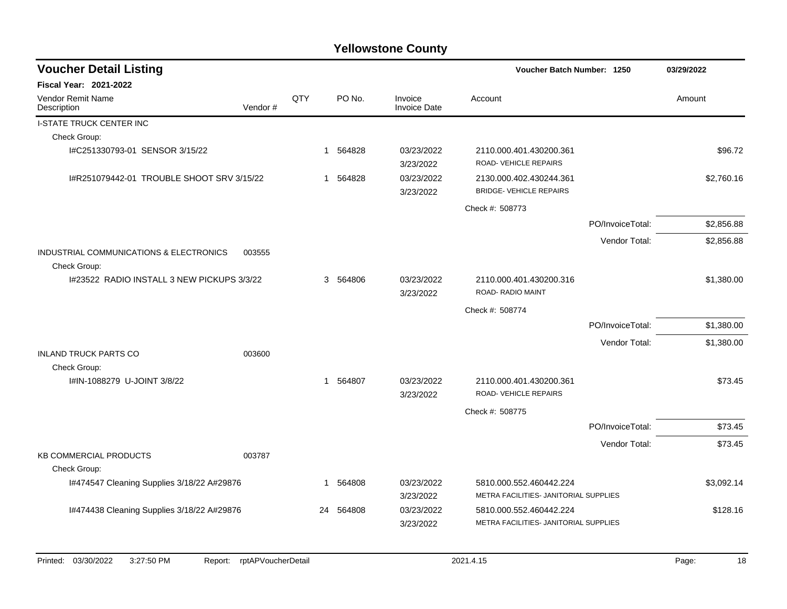| <b>Voucher Detail Listing</b>                           |         |     |                        |                                | Voucher Batch Number: 1250                                       |                  | 03/29/2022 |
|---------------------------------------------------------|---------|-----|------------------------|--------------------------------|------------------------------------------------------------------|------------------|------------|
| <b>Fiscal Year: 2021-2022</b>                           |         |     |                        |                                |                                                                  |                  |            |
| <b>Vendor Remit Name</b><br>Description                 | Vendor# | QTY | PO No.                 | Invoice<br><b>Invoice Date</b> | Account                                                          |                  | Amount     |
| <b>I-STATE TRUCK CENTER INC</b>                         |         |     |                        |                                |                                                                  |                  |            |
| Check Group:                                            |         |     |                        |                                |                                                                  |                  |            |
| I#C251330793-01 SENSOR 3/15/22                          |         |     | 564828<br>$\mathbf{1}$ | 03/23/2022<br>3/23/2022        | 2110.000.401.430200.361<br>ROAD-VEHICLE REPAIRS                  |                  | \$96.72    |
| I#R251079442-01 TROUBLE SHOOT SRV 3/15/22               |         |     | 564828<br>1            | 03/23/2022<br>3/23/2022        | 2130.000.402.430244.361<br><b>BRIDGE- VEHICLE REPAIRS</b>        |                  | \$2,760.16 |
|                                                         |         |     |                        |                                | Check #: 508773                                                  |                  |            |
|                                                         |         |     |                        |                                |                                                                  | PO/InvoiceTotal: | \$2,856.88 |
|                                                         |         |     |                        |                                |                                                                  | Vendor Total:    | \$2,856.88 |
| INDUSTRIAL COMMUNICATIONS & ELECTRONICS<br>Check Group: | 003555  |     |                        |                                |                                                                  |                  |            |
| 1#23522 RADIO INSTALL 3 NEW PICKUPS 3/3/22              |         |     | 3 564806               | 03/23/2022<br>3/23/2022        | 2110.000.401.430200.316<br>ROAD-RADIO MAINT                      |                  | \$1,380.00 |
|                                                         |         |     |                        |                                | Check #: 508774                                                  |                  |            |
|                                                         |         |     |                        |                                |                                                                  | PO/InvoiceTotal: | \$1,380.00 |
|                                                         |         |     |                        |                                |                                                                  | Vendor Total:    | \$1,380.00 |
| <b>INLAND TRUCK PARTS CO</b><br>Check Group:            | 003600  |     |                        |                                |                                                                  |                  |            |
| I#IN-1088279 U-JOINT 3/8/22                             |         |     | 564807<br>$\mathbf{1}$ | 03/23/2022<br>3/23/2022        | 2110.000.401.430200.361<br>ROAD- VEHICLE REPAIRS                 |                  | \$73.45    |
|                                                         |         |     |                        |                                | Check #: 508775                                                  |                  |            |
|                                                         |         |     |                        |                                |                                                                  | PO/InvoiceTotal: | \$73.45    |
|                                                         |         |     |                        |                                |                                                                  | Vendor Total:    | \$73.45    |
| <b>KB COMMERCIAL PRODUCTS</b><br>Check Group:           | 003787  |     |                        |                                |                                                                  |                  |            |
| 1#474547 Cleaning Supplies 3/18/22 A#29876              |         |     | 564808<br>1            | 03/23/2022                     | 5810.000.552.460442.224                                          |                  | \$3,092.14 |
|                                                         |         |     |                        | 3/23/2022                      | METRA FACILITIES- JANITORIAL SUPPLIES                            |                  |            |
| 1#474438 Cleaning Supplies 3/18/22 A#29876              |         |     | 564808<br>24           | 03/23/2022<br>3/23/2022        | 5810.000.552.460442.224<br>METRA FACILITIES- JANITORIAL SUPPLIES |                  | \$128.16   |
|                                                         |         |     |                        |                                |                                                                  |                  |            |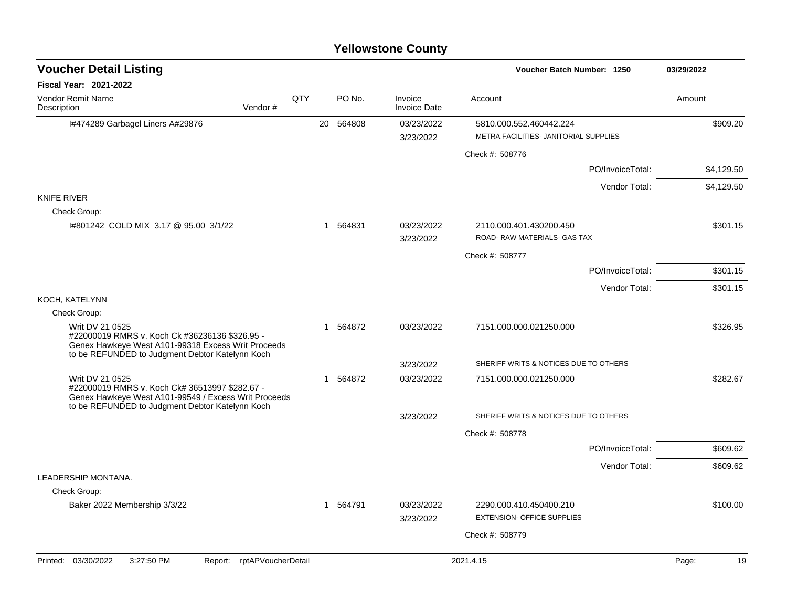| <b>Voucher Detail Listing</b>                                                                                             |                    |     |           |                                | Voucher Batch Number: 1250                              | 03/29/2022  |
|---------------------------------------------------------------------------------------------------------------------------|--------------------|-----|-----------|--------------------------------|---------------------------------------------------------|-------------|
| <b>Fiscal Year: 2021-2022</b>                                                                                             |                    |     |           |                                |                                                         |             |
| Vendor Remit Name<br>Description                                                                                          | Vendor#            | QTY | PO No.    | Invoice<br><b>Invoice Date</b> | Account                                                 | Amount      |
| I#474289 Garbagel Liners A#29876                                                                                          |                    |     | 20 564808 | 03/23/2022                     | 5810.000.552.460442.224                                 | \$909.20    |
|                                                                                                                           |                    |     |           | 3/23/2022                      | METRA FACILITIES- JANITORIAL SUPPLIES                   |             |
|                                                                                                                           |                    |     |           |                                | Check #: 508776                                         |             |
|                                                                                                                           |                    |     |           |                                | PO/InvoiceTotal:                                        | \$4,129.50  |
|                                                                                                                           |                    |     |           |                                | Vendor Total:                                           | \$4,129.50  |
| <b>KNIFE RIVER</b>                                                                                                        |                    |     |           |                                |                                                         |             |
| Check Group:                                                                                                              |                    |     |           |                                |                                                         |             |
| 1#801242 COLD MIX 3.17 @ 95.00 3/1/22                                                                                     |                    |     | 1 564831  | 03/23/2022<br>3/23/2022        | 2110.000.401.430200.450<br>ROAD- RAW MATERIALS- GAS TAX | \$301.15    |
|                                                                                                                           |                    |     |           |                                | Check #: 508777                                         |             |
|                                                                                                                           |                    |     |           |                                | PO/InvoiceTotal:                                        | \$301.15    |
|                                                                                                                           |                    |     |           |                                | Vendor Total:                                           | \$301.15    |
| KOCH, KATELYNN                                                                                                            |                    |     |           |                                |                                                         |             |
| Check Group:                                                                                                              |                    |     |           |                                |                                                         |             |
| Writ DV 21 0525<br>#22000019 RMRS v. Koch Ck #36236136 \$326.95 -<br>Genex Hawkeye West A101-99318 Excess Writ Proceeds   |                    |     | 1 564872  | 03/23/2022                     | 7151.000.000.021250.000                                 | \$326.95    |
| to be REFUNDED to Judgment Debtor Katelynn Koch                                                                           |                    |     |           | 3/23/2022                      | SHERIFF WRITS & NOTICES DUE TO OTHERS                   |             |
| Writ DV 21 0525<br>#22000019 RMRS v. Koch Ck# 36513997 \$282.67 -<br>Genex Hawkeye West A101-99549 / Excess Writ Proceeds |                    |     | 1 564872  | 03/23/2022                     | 7151.000.000.021250.000                                 | \$282.67    |
| to be REFUNDED to Judgment Debtor Katelynn Koch                                                                           |                    |     |           | 3/23/2022                      | SHERIFF WRITS & NOTICES DUE TO OTHERS                   |             |
|                                                                                                                           |                    |     |           |                                | Check #: 508778                                         |             |
|                                                                                                                           |                    |     |           |                                | PO/InvoiceTotal:                                        | \$609.62    |
|                                                                                                                           |                    |     |           |                                | Vendor Total:                                           | \$609.62    |
| LEADERSHIP MONTANA.                                                                                                       |                    |     |           |                                |                                                         |             |
| Check Group:                                                                                                              |                    |     |           |                                |                                                         |             |
| Baker 2022 Membership 3/3/22                                                                                              |                    |     | 1 564791  | 03/23/2022                     | 2290.000.410.450400.210                                 | \$100.00    |
|                                                                                                                           |                    |     |           | 3/23/2022                      | <b>EXTENSION- OFFICE SUPPLIES</b>                       |             |
|                                                                                                                           |                    |     |           |                                | Check #: 508779                                         |             |
| Printed: 03/30/2022<br>3:27:50 PM<br>Report:                                                                              | rptAPVoucherDetail |     |           |                                | 2021.4.15                                               | Page:<br>19 |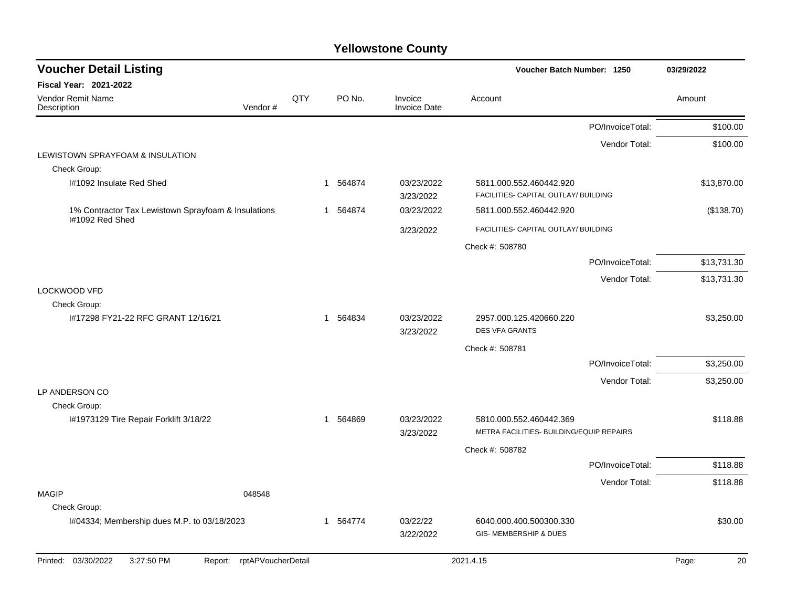| <b>Voucher Detail Listing</b>                          |                    |     |          |                                | Voucher Batch Number: 1250                                      |                  | 03/29/2022  |
|--------------------------------------------------------|--------------------|-----|----------|--------------------------------|-----------------------------------------------------------------|------------------|-------------|
| <b>Fiscal Year: 2021-2022</b>                          |                    |     |          |                                |                                                                 |                  |             |
| <b>Vendor Remit Name</b><br>Description                | Vendor#            | QTY | PO No.   | Invoice<br><b>Invoice Date</b> | Account                                                         |                  | Amount      |
|                                                        |                    |     |          |                                |                                                                 | PO/InvoiceTotal: | \$100.00    |
|                                                        |                    |     |          |                                |                                                                 | Vendor Total:    | \$100.00    |
| LEWISTOWN SPRAYFOAM & INSULATION<br>Check Group:       |                    |     |          |                                |                                                                 |                  |             |
| I#1092 Insulate Red Shed                               |                    |     | 1 564874 | 03/23/2022<br>3/23/2022        | 5811.000.552.460442.920<br>FACILITIES- CAPITAL OUTLAY/ BUILDING |                  | \$13,870.00 |
| 1% Contractor Tax Lewistown Sprayfoam & Insulations    |                    |     | 1 564874 | 03/23/2022                     | 5811.000.552.460442.920                                         |                  | (\$138.70)  |
| I#1092 Red Shed                                        |                    |     |          | 3/23/2022                      | FACILITIES- CAPITAL OUTLAY/ BUILDING                            |                  |             |
|                                                        |                    |     |          |                                | Check #: 508780                                                 |                  |             |
|                                                        |                    |     |          |                                |                                                                 | PO/InvoiceTotal: | \$13,731.30 |
|                                                        |                    |     |          |                                |                                                                 | Vendor Total:    | \$13,731.30 |
| LOCKWOOD VFD                                           |                    |     |          |                                |                                                                 |                  |             |
| Check Group:                                           |                    |     |          |                                |                                                                 |                  |             |
| I#17298 FY21-22 RFC GRANT 12/16/21                     |                    |     | 1 564834 | 03/23/2022<br>3/23/2022        | 2957.000.125.420660.220<br><b>DES VFA GRANTS</b>                |                  | \$3,250.00  |
|                                                        |                    |     |          |                                | Check #: 508781                                                 |                  |             |
|                                                        |                    |     |          |                                |                                                                 | PO/InvoiceTotal: | \$3,250.00  |
|                                                        |                    |     |          |                                |                                                                 | Vendor Total:    | \$3,250.00  |
| LP ANDERSON CO                                         |                    |     |          |                                |                                                                 |                  |             |
| Check Group:<br>I#1973129 Tire Repair Forklift 3/18/22 |                    |     | 1 564869 | 03/23/2022                     | 5810.000.552.460442.369                                         |                  | \$118.88    |
|                                                        |                    |     |          | 3/23/2022                      | METRA FACILITIES- BUILDING/EQUIP REPAIRS                        |                  |             |
|                                                        |                    |     |          |                                | Check #: 508782                                                 |                  |             |
|                                                        |                    |     |          |                                |                                                                 | PO/InvoiceTotal: | \$118.88    |
|                                                        |                    |     |          |                                |                                                                 | Vendor Total:    | \$118.88    |
| <b>MAGIP</b>                                           | 048548             |     |          |                                |                                                                 |                  |             |
| Check Group:                                           |                    |     |          |                                |                                                                 |                  |             |
| I#04334; Membership dues M.P. to 03/18/2023            |                    |     | 1 564774 | 03/22/22<br>3/22/2022          | 6040.000.400.500300.330<br>GIS-MEMBERSHIP & DUES                |                  | \$30.00     |
| 03/30/2022<br>3:27:50 PM<br>Printed:<br>Report:        | rptAPVoucherDetail |     |          |                                | 2021.4.15                                                       |                  | Page:<br>20 |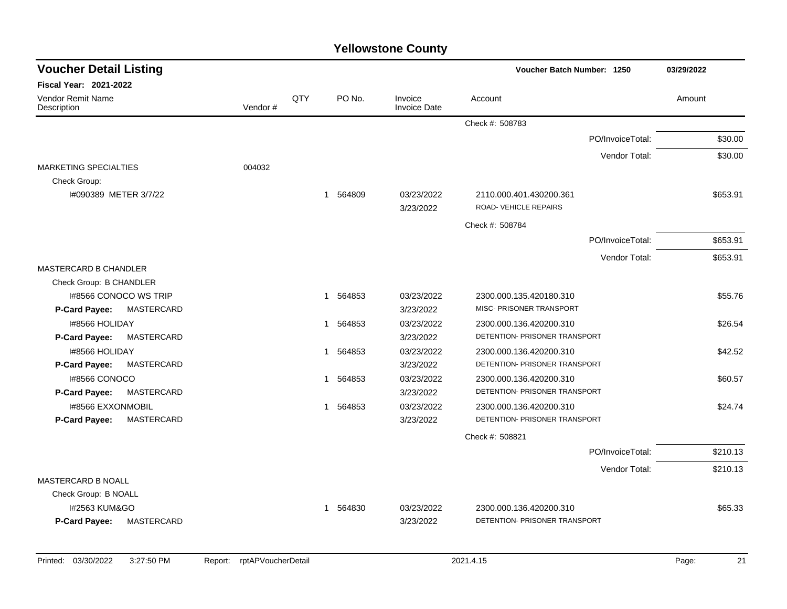| <b>Voucher Detail Listing</b>             |         |     |                       |                                | Voucher Batch Number: 1250                             | 03/29/2022 |
|-------------------------------------------|---------|-----|-----------------------|--------------------------------|--------------------------------------------------------|------------|
| <b>Fiscal Year: 2021-2022</b>             |         |     |                       |                                |                                                        |            |
| <b>Vendor Remit Name</b><br>Description   | Vendor# | QTY | PO No.                | Invoice<br><b>Invoice Date</b> | Account                                                | Amount     |
|                                           |         |     |                       |                                | Check #: 508783                                        |            |
|                                           |         |     |                       |                                | PO/InvoiceTotal:                                       | \$30.00    |
|                                           |         |     |                       |                                | Vendor Total:                                          | \$30.00    |
| <b>MARKETING SPECIALTIES</b>              | 004032  |     |                       |                                |                                                        |            |
| Check Group:                              |         |     |                       |                                |                                                        |            |
| I#090389 METER 3/7/22                     |         |     | 564809<br>$\mathbf 1$ | 03/23/2022                     | 2110.000.401.430200.361<br><b>ROAD-VEHICLE REPAIRS</b> | \$653.91   |
|                                           |         |     |                       | 3/23/2022                      |                                                        |            |
|                                           |         |     |                       |                                | Check #: 508784                                        |            |
|                                           |         |     |                       |                                | PO/InvoiceTotal:                                       | \$653.91   |
|                                           |         |     |                       |                                | Vendor Total:                                          | \$653.91   |
| <b>MASTERCARD B CHANDLER</b>              |         |     |                       |                                |                                                        |            |
| Check Group: B CHANDLER                   |         |     |                       |                                |                                                        |            |
| 1#8566 CONOCO WS TRIP<br>MASTERCARD       |         |     | 1 564853              | 03/23/2022<br>3/23/2022        | 2300.000.135.420180.310<br>MISC- PRISONER TRANSPORT    | \$55.76    |
| P-Card Payee:<br>I#8566 HOLIDAY           |         |     | 1 564853              | 03/23/2022                     | 2300.000.136.420200.310                                | \$26.54    |
| MASTERCARD<br>P-Card Payee:               |         |     |                       | 3/23/2022                      | DETENTION- PRISONER TRANSPORT                          |            |
| 1#8566 HOLIDAY                            |         |     | 564853<br>1           | 03/23/2022                     | 2300.000.136.420200.310                                | \$42.52    |
| <b>MASTERCARD</b><br>P-Card Payee:        |         |     |                       | 3/23/2022                      | DETENTION- PRISONER TRANSPORT                          |            |
| I#8566 CONOCO                             |         |     | 564853<br>1           | 03/23/2022                     | 2300.000.136.420200.310                                | \$60.57    |
| MASTERCARD<br>P-Card Payee:               |         |     |                       | 3/23/2022                      | DETENTION- PRISONER TRANSPORT                          |            |
| <b>I#8566 EXXONMOBIL</b>                  |         |     | 1 564853              | 03/23/2022                     | 2300.000.136.420200.310                                | \$24.74    |
| <b>MASTERCARD</b><br><b>P-Card Payee:</b> |         |     |                       | 3/23/2022                      | DETENTION- PRISONER TRANSPORT                          |            |
|                                           |         |     |                       |                                | Check #: 508821                                        |            |
|                                           |         |     |                       |                                | PO/InvoiceTotal:                                       | \$210.13   |
|                                           |         |     |                       |                                | Vendor Total:                                          | \$210.13   |
| MASTERCARD B NOALL                        |         |     |                       |                                |                                                        |            |
| Check Group: B NOALL                      |         |     |                       |                                |                                                        |            |
| I#2563 KUM&GO                             |         |     | 1 564830              | 03/23/2022                     | 2300.000.136.420200.310                                | \$65.33    |
| <b>MASTERCARD</b><br>P-Card Payee:        |         |     |                       | 3/23/2022                      | DETENTION- PRISONER TRANSPORT                          |            |
|                                           |         |     |                       |                                |                                                        |            |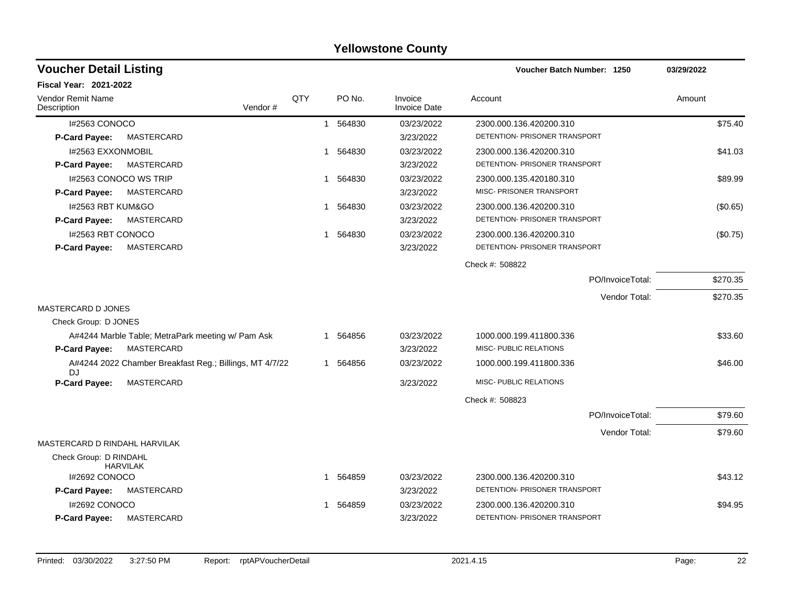| <b>Voucher Detail Listing</b>                                             |     |              |          |                                | Voucher Batch Number: 1250    | 03/29/2022 |
|---------------------------------------------------------------------------|-----|--------------|----------|--------------------------------|-------------------------------|------------|
| Fiscal Year: 2021-2022                                                    |     |              |          |                                |                               |            |
| Vendor Remit Name<br>Description<br>Vendor#                               | QTY |              | PO No.   | Invoice<br><b>Invoice Date</b> | Account                       | Amount     |
| I#2563 CONOCO                                                             |     | $\mathbf{1}$ | 564830   | 03/23/2022                     | 2300.000.136.420200.310       | \$75.40    |
| MASTERCARD<br><b>P-Card Payee:</b>                                        |     |              |          | 3/23/2022                      | DETENTION- PRISONER TRANSPORT |            |
| <b>I#2563 EXXONMOBIL</b>                                                  |     | -1           | 564830   | 03/23/2022                     | 2300.000.136.420200.310       | \$41.03    |
| MASTERCARD<br><b>P-Card Payee:</b>                                        |     |              |          | 3/23/2022                      | DETENTION- PRISONER TRANSPORT |            |
| I#2563 CONOCO WS TRIP                                                     |     | $\mathbf 1$  | 564830   | 03/23/2022                     | 2300.000.135.420180.310       | \$89.99    |
| MASTERCARD<br><b>P-Card Payee:</b>                                        |     |              |          | 3/23/2022                      | MISC- PRISONER TRANSPORT      |            |
| 1#2563 RBT KUM&GO                                                         |     |              | 1 564830 | 03/23/2022                     | 2300.000.136.420200.310       | (\$0.65)   |
| P-Card Payee:<br>MASTERCARD                                               |     |              |          | 3/23/2022                      | DETENTION- PRISONER TRANSPORT |            |
| I#2563 RBT CONOCO                                                         |     | 1            | 564830   | 03/23/2022                     | 2300.000.136.420200.310       | (\$0.75)   |
| MASTERCARD<br>P-Card Payee:                                               |     |              |          | 3/23/2022                      | DETENTION- PRISONER TRANSPORT |            |
|                                                                           |     |              |          |                                | Check #: 508822               |            |
|                                                                           |     |              |          |                                | PO/InvoiceTotal:              | \$270.35   |
|                                                                           |     |              |          |                                | Vendor Total:                 | \$270.35   |
| MASTERCARD D JONES                                                        |     |              |          |                                |                               |            |
| Check Group: D JONES                                                      |     |              |          |                                |                               |            |
| A#4244 Marble Table; MetraPark meeting w/ Pam Ask                         |     |              | 1 564856 | 03/23/2022                     | 1000.000.199.411800.336       | \$33.60    |
| MASTERCARD<br>P-Card Payee:                                               |     |              |          | 3/23/2022                      | MISC- PUBLIC RELATIONS        |            |
| A#4244 2022 Chamber Breakfast Reg.; Billings, MT 4/7/22<br>D <sub>1</sub> |     |              | 1 564856 | 03/23/2022                     | 1000.000.199.411800.336       | \$46.00    |
| P-Card Payee:<br>MASTERCARD                                               |     |              |          | 3/23/2022                      | MISC- PUBLIC RELATIONS        |            |
|                                                                           |     |              |          |                                | Check #: 508823               |            |
|                                                                           |     |              |          |                                | PO/InvoiceTotal:              | \$79.60    |
|                                                                           |     |              |          |                                | Vendor Total:                 | \$79.60    |
| MASTERCARD D RINDAHL HARVILAK                                             |     |              |          |                                |                               |            |
| Check Group: D RINDAHL<br><b>HARVILAK</b>                                 |     |              |          |                                |                               |            |
| I#2692 CONOCO                                                             |     |              | 1 564859 | 03/23/2022                     | 2300.000.136.420200.310       | \$43.12    |
| P-Card Payee:<br>MASTERCARD                                               |     |              |          | 3/23/2022                      | DETENTION- PRISONER TRANSPORT |            |
| I#2692 CONOCO                                                             |     | 1            | 564859   | 03/23/2022                     | 2300.000.136.420200.310       | \$94.95    |
| MASTERCARD<br>P-Card Payee:                                               |     |              |          | 3/23/2022                      | DETENTION- PRISONER TRANSPORT |            |
|                                                                           |     |              |          |                                |                               |            |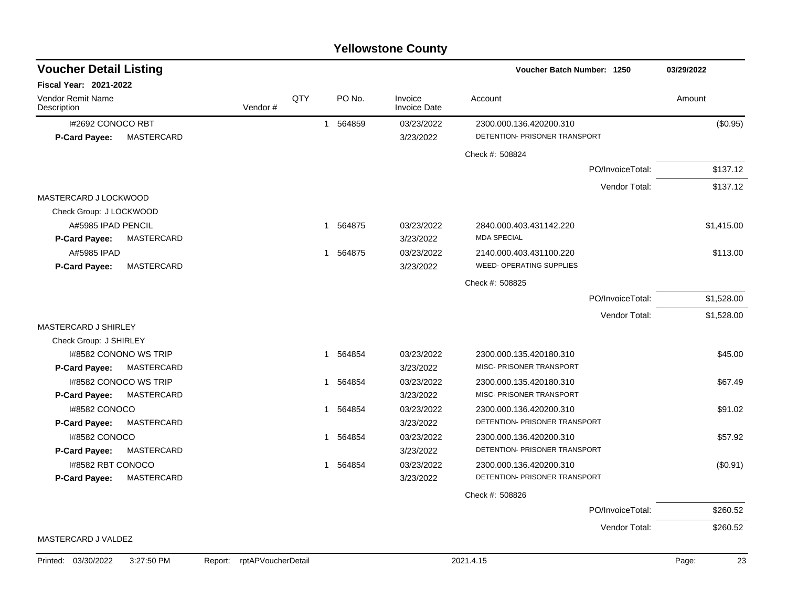| <b>Voucher Detail Listing</b>                    |         |     |                        |                                | Voucher Batch Number: 1250                               | 03/29/2022 |
|--------------------------------------------------|---------|-----|------------------------|--------------------------------|----------------------------------------------------------|------------|
| <b>Fiscal Year: 2021-2022</b>                    |         |     |                        |                                |                                                          |            |
| Vendor Remit Name<br>Description                 | Vendor# | QTY | PO No.                 | Invoice<br><b>Invoice Date</b> | Account                                                  | Amount     |
| I#2692 CONOCO RBT<br>MASTERCARD<br>P-Card Payee: |         |     | 564859<br>$\mathbf{1}$ | 03/23/2022<br>3/23/2022        | 2300.000.136.420200.310<br>DETENTION- PRISONER TRANSPORT | (\$0.95)   |
|                                                  |         |     |                        |                                | Check #: 508824                                          |            |
|                                                  |         |     |                        |                                | PO/InvoiceTotal:                                         | \$137.12   |
|                                                  |         |     |                        |                                |                                                          |            |
| MASTERCARD J LOCKWOOD                            |         |     |                        |                                | Vendor Total:                                            | \$137.12   |
| Check Group: J LOCKWOOD                          |         |     |                        |                                |                                                          |            |
| A#5985 IPAD PENCIL                               |         |     | 564875<br>$\mathbf{1}$ | 03/23/2022                     | 2840.000.403.431142.220                                  | \$1,415.00 |
| MASTERCARD<br>P-Card Payee:                      |         |     |                        | 3/23/2022                      | <b>MDA SPECIAL</b>                                       |            |
| A#5985 IPAD                                      |         |     | 1 564875               | 03/23/2022                     | 2140.000.403.431100.220                                  | \$113.00   |
| P-Card Payee:<br>MASTERCARD                      |         |     |                        | 3/23/2022                      | <b>WEED- OPERATING SUPPLIES</b>                          |            |
|                                                  |         |     |                        |                                | Check #: 508825                                          |            |
|                                                  |         |     |                        |                                | PO/InvoiceTotal:                                         | \$1,528.00 |
|                                                  |         |     |                        |                                | Vendor Total:                                            | \$1,528.00 |
| MASTERCARD J SHIRLEY                             |         |     |                        |                                |                                                          |            |
| Check Group: J SHIRLEY                           |         |     |                        |                                |                                                          |            |
| 1#8582 CONONO WS TRIP                            |         |     | 564854<br>1            | 03/23/2022                     | 2300.000.135.420180.310                                  | \$45.00    |
| P-Card Payee:<br>MASTERCARD                      |         |     |                        | 3/23/2022                      | MISC- PRISONER TRANSPORT                                 |            |
| I#8582 CONOCO WS TRIP                            |         |     | 564854<br>1            | 03/23/2022                     | 2300.000.135.420180.310                                  | \$67.49    |
| MASTERCARD<br><b>P-Card Payee:</b>               |         |     |                        | 3/23/2022                      | MISC- PRISONER TRANSPORT                                 |            |
| I#8582 CONOCO                                    |         |     | 564854<br>1            | 03/23/2022                     | 2300.000.136.420200.310                                  | \$91.02    |
| MASTERCARD<br>P-Card Payee:                      |         |     |                        | 3/23/2022                      | DETENTION- PRISONER TRANSPORT                            |            |
| I#8582 CONOCO                                    |         |     | 564854<br>1            | 03/23/2022                     | 2300.000.136.420200.310                                  | \$57.92    |
| P-Card Payee:<br>MASTERCARD                      |         |     |                        | 3/23/2022                      | DETENTION- PRISONER TRANSPORT                            |            |
| I#8582 RBT CONOCO                                |         |     | 1 564854               | 03/23/2022                     | 2300.000.136.420200.310                                  | (\$0.91)   |
| <b>P-Card Payee:</b><br>MASTERCARD               |         |     |                        | 3/23/2022                      | DETENTION- PRISONER TRANSPORT                            |            |
|                                                  |         |     |                        |                                | Check #: 508826                                          |            |
|                                                  |         |     |                        |                                | PO/InvoiceTotal:                                         | \$260.52   |
|                                                  |         |     |                        |                                | Vendor Total:                                            | \$260.52   |
| MASTERCARD J VALDEZ                              |         |     |                        |                                |                                                          |            |

Printed: 03/30/2022 3:27:50 PM Report: rptAPVoucherDetail 2021.4.15 2021.4.15 Page: 23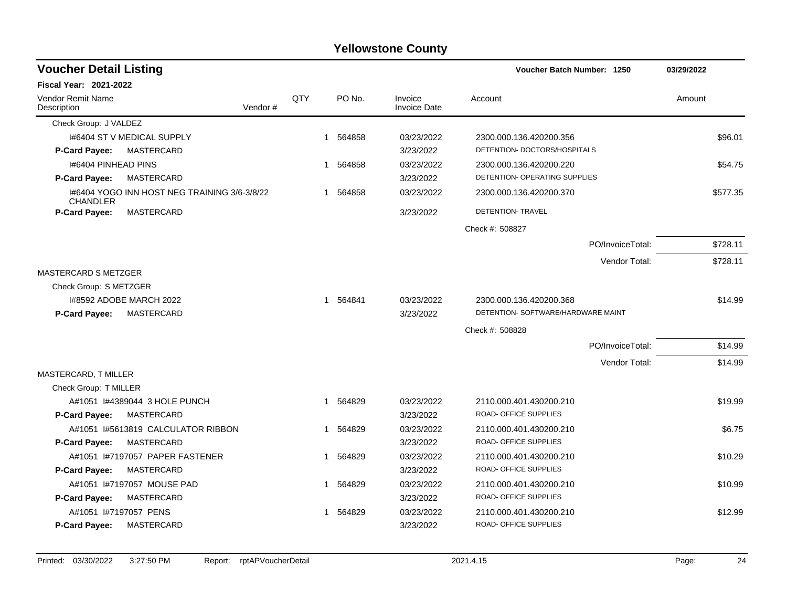| <b>Voucher Detail Listing</b>                                   |     |                       |                                | Voucher Batch Number: 1250         | 03/29/2022 |
|-----------------------------------------------------------------|-----|-----------------------|--------------------------------|------------------------------------|------------|
| <b>Fiscal Year: 2021-2022</b>                                   |     |                       |                                |                                    |            |
| Vendor Remit Name<br>Vendor#<br>Description                     | QTY | PO No.                | Invoice<br><b>Invoice Date</b> | Account                            | Amount     |
| Check Group: J VALDEZ                                           |     |                       |                                |                                    |            |
| 1#6404 ST V MEDICAL SUPPLY                                      |     | 1 564858              | 03/23/2022                     | 2300.000.136.420200.356            | \$96.01    |
| MASTERCARD<br><b>P-Card Payee:</b>                              |     |                       | 3/23/2022                      | DETENTION- DOCTORS/HOSPITALS       |            |
| 1#6404 PINHEAD PINS                                             |     | 564858<br>$\mathbf 1$ | 03/23/2022                     | 2300.000.136.420200.220            | \$54.75    |
| <b>MASTERCARD</b><br>P-Card Payee:                              |     |                       | 3/23/2022                      | DETENTION- OPERATING SUPPLIES      |            |
| 1#6404 YOGO INN HOST NEG TRAINING 3/6-3/8/22<br><b>CHANDLER</b> |     | 564858<br>1           | 03/23/2022                     | 2300.000.136.420200.370            | \$577.35   |
| P-Card Payee:<br>MASTERCARD                                     |     |                       | 3/23/2022                      | DETENTION- TRAVEL                  |            |
|                                                                 |     |                       |                                | Check #: 508827                    |            |
|                                                                 |     |                       |                                | PO/InvoiceTotal:                   | \$728.11   |
|                                                                 |     |                       |                                | Vendor Total:                      | \$728.11   |
| <b>MASTERCARD S METZGER</b>                                     |     |                       |                                |                                    |            |
| Check Group: S METZGER                                          |     |                       |                                |                                    |            |
| 1#8592 ADOBE MARCH 2022                                         |     | 1 564841              | 03/23/2022                     | 2300.000.136.420200.368            | \$14.99    |
| <b>P-Card Payee:</b><br>MASTERCARD                              |     |                       | 3/23/2022                      | DETENTION- SOFTWARE/HARDWARE MAINT |            |
|                                                                 |     |                       |                                | Check #: 508828                    |            |
|                                                                 |     |                       |                                | PO/InvoiceTotal:                   | \$14.99    |
|                                                                 |     |                       |                                | Vendor Total:                      | \$14.99    |
| MASTERCARD, T MILLER                                            |     |                       |                                |                                    |            |
| Check Group: T MILLER                                           |     |                       |                                |                                    |            |
| A#1051 #4389044 3 HOLE PUNCH                                    |     | 1 564829              | 03/23/2022                     | 2110.000.401.430200.210            | \$19.99    |
| <b>P-Card Payee:</b><br>MASTERCARD                              |     |                       | 3/23/2022                      | <b>ROAD- OFFICE SUPPLIES</b>       |            |
| A#1051 I#5613819 CALCULATOR RIBBON                              |     | 564829<br>1           | 03/23/2022                     | 2110.000.401.430200.210            | \$6.75     |
| P-Card Payee:<br>MASTERCARD                                     |     |                       | 3/23/2022                      | ROAD- OFFICE SUPPLIES              |            |
| A#1051 I#7197057 PAPER FASTENER                                 |     | 1 564829              | 03/23/2022                     | 2110.000.401.430200.210            | \$10.29    |
| P-Card Payee:<br><b>MASTERCARD</b>                              |     |                       | 3/23/2022                      | <b>ROAD- OFFICE SUPPLIES</b>       |            |
| A#1051 I#7197057 MOUSE PAD                                      |     | 564829<br>1           | 03/23/2022                     | 2110.000.401.430200.210            | \$10.99    |
| MASTERCARD<br><b>P-Card Payee:</b>                              |     |                       | 3/23/2022                      | <b>ROAD- OFFICE SUPPLIES</b>       |            |
| A#1051 I#7197057 PENS                                           |     | 564829<br>-1          | 03/23/2022                     | 2110.000.401.430200.210            | \$12.99    |
| MASTERCARD<br>P-Card Payee:                                     |     |                       | 3/23/2022                      | <b>ROAD- OFFICE SUPPLIES</b>       |            |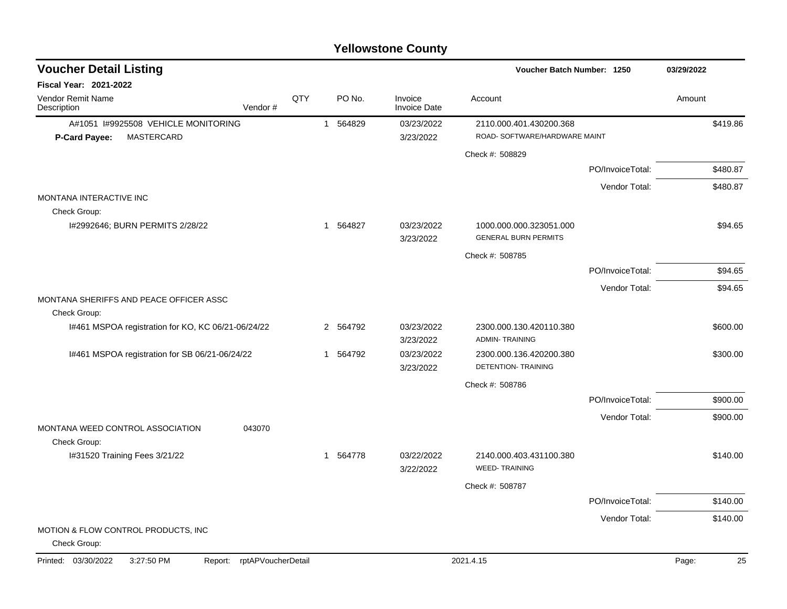| <b>Voucher Detail Listing</b>                           |                            | Voucher Batch Number: 1250 |          |                                |                                                        | 03/29/2022       |             |
|---------------------------------------------------------|----------------------------|----------------------------|----------|--------------------------------|--------------------------------------------------------|------------------|-------------|
| <b>Fiscal Year: 2021-2022</b>                           |                            |                            |          |                                |                                                        |                  |             |
| Vendor Remit Name<br>Description                        | Vendor#                    | QTY                        | PO No.   | Invoice<br><b>Invoice Date</b> | Account                                                |                  | Amount      |
| A#1051 I#9925508 VEHICLE MONITORING                     |                            |                            | 1 564829 | 03/23/2022                     | 2110.000.401.430200.368                                |                  | \$419.86    |
| P-Card Payee:<br><b>MASTERCARD</b>                      |                            |                            |          | 3/23/2022                      | ROAD- SOFTWARE/HARDWARE MAINT                          |                  |             |
|                                                         |                            |                            |          |                                | Check #: 508829                                        |                  |             |
|                                                         |                            |                            |          |                                |                                                        | PO/InvoiceTotal: | \$480.87    |
|                                                         |                            |                            |          |                                |                                                        | Vendor Total:    | \$480.87    |
| MONTANA INTERACTIVE INC<br>Check Group:                 |                            |                            |          |                                |                                                        |                  |             |
| I#2992646; BURN PERMITS 2/28/22                         |                            |                            | 1 564827 | 03/23/2022<br>3/23/2022        | 1000.000.000.323051.000<br><b>GENERAL BURN PERMITS</b> |                  | \$94.65     |
|                                                         |                            |                            |          |                                | Check #: 508785                                        |                  |             |
|                                                         |                            |                            |          |                                |                                                        | PO/InvoiceTotal: | \$94.65     |
|                                                         |                            |                            |          |                                |                                                        | Vendor Total:    | \$94.65     |
| MONTANA SHERIFFS AND PEACE OFFICER ASSC<br>Check Group: |                            |                            |          |                                |                                                        |                  |             |
| I#461 MSPOA registration for KO, KC 06/21-06/24/22      |                            |                            | 2 564792 | 03/23/2022<br>3/23/2022        | 2300.000.130.420110.380<br><b>ADMIN-TRAINING</b>       |                  | \$600.00    |
| I#461 MSPOA registration for SB 06/21-06/24/22          |                            |                            | 1 564792 | 03/23/2022<br>3/23/2022        | 2300.000.136.420200.380<br>DETENTION- TRAINING         |                  | \$300.00    |
|                                                         |                            |                            |          |                                | Check #: 508786                                        |                  |             |
|                                                         |                            |                            |          |                                |                                                        | PO/InvoiceTotal: | \$900.00    |
|                                                         |                            |                            |          |                                |                                                        | Vendor Total:    | \$900.00    |
| MONTANA WEED CONTROL ASSOCIATION<br>Check Group:        | 043070                     |                            |          |                                |                                                        |                  |             |
| I#31520 Training Fees 3/21/22                           |                            |                            | 1 564778 | 03/22/2022<br>3/22/2022        | 2140.000.403.431100.380<br><b>WEED-TRAINING</b>        |                  | \$140.00    |
|                                                         |                            |                            |          |                                | Check #: 508787                                        |                  |             |
|                                                         |                            |                            |          |                                |                                                        | PO/InvoiceTotal: | \$140.00    |
|                                                         |                            |                            |          |                                |                                                        | Vendor Total:    | \$140.00    |
| MOTION & FLOW CONTROL PRODUCTS, INC.<br>Check Group:    |                            |                            |          |                                |                                                        |                  |             |
| Printed: 03/30/2022<br>3:27:50 PM                       | Report: rptAPVoucherDetail |                            |          |                                | 2021.4.15                                              |                  | 25<br>Page: |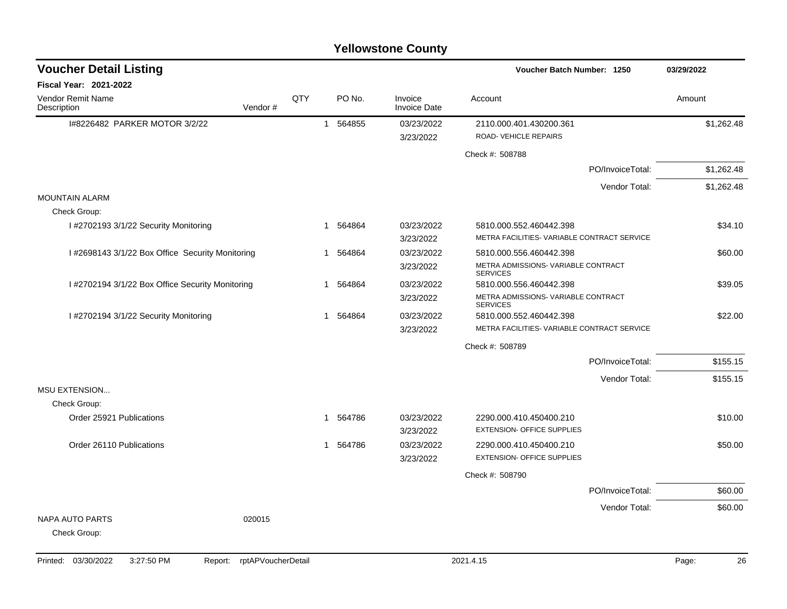| <b>Voucher Detail Listing</b>                    |         |     |                        |                                | Voucher Batch Number: 1250                             | 03/29/2022 |
|--------------------------------------------------|---------|-----|------------------------|--------------------------------|--------------------------------------------------------|------------|
| <b>Fiscal Year: 2021-2022</b>                    |         |     |                        |                                |                                                        |            |
| Vendor Remit Name<br>Description                 | Vendor# | QTY | PO No.                 | Invoice<br><b>Invoice Date</b> | Account                                                | Amount     |
| 1#8226482 PARKER MOTOR 3/2/22                    |         |     | 1 564855               | 03/23/2022<br>3/23/2022        | 2110.000.401.430200.361<br>ROAD- VEHICLE REPAIRS       | \$1,262.48 |
|                                                  |         |     |                        |                                | Check #: 508788                                        |            |
|                                                  |         |     |                        |                                | PO/InvoiceTotal:                                       | \$1,262.48 |
|                                                  |         |     |                        |                                | Vendor Total:                                          | \$1,262.48 |
| <b>MOUNTAIN ALARM</b>                            |         |     |                        |                                |                                                        |            |
| Check Group:                                     |         |     |                        |                                |                                                        |            |
| I #2702193 3/1/22 Security Monitoring            |         | 1   | 564864                 | 03/23/2022                     | 5810.000.552.460442.398                                | \$34.10    |
|                                                  |         |     |                        | 3/23/2022                      | METRA FACILITIES- VARIABLE CONTRACT SERVICE            |            |
| I #2698143 3/1/22 Box Office Security Monitoring |         |     | 1 564864               | 03/23/2022                     | 5810.000.556.460442.398                                | \$60.00    |
|                                                  |         |     |                        | 3/23/2022                      | METRA ADMISSIONS- VARIABLE CONTRACT<br><b>SERVICES</b> |            |
| I #2702194 3/1/22 Box Office Security Monitoring |         | -1  | 564864                 | 03/23/2022                     | 5810.000.556.460442.398                                | \$39.05    |
|                                                  |         |     |                        | 3/23/2022                      | METRA ADMISSIONS- VARIABLE CONTRACT<br><b>SERVICES</b> |            |
| I #2702194 3/1/22 Security Monitoring            |         |     | 564864<br>$\mathbf{1}$ | 03/23/2022                     | 5810.000.552.460442.398                                | \$22.00    |
|                                                  |         |     |                        | 3/23/2022                      | METRA FACILITIES- VARIABLE CONTRACT SERVICE            |            |
|                                                  |         |     |                        |                                | Check #: 508789                                        |            |
|                                                  |         |     |                        |                                | PO/InvoiceTotal:                                       | \$155.15   |
|                                                  |         |     |                        |                                | Vendor Total:                                          | \$155.15   |
| <b>MSU EXTENSION</b>                             |         |     |                        |                                |                                                        |            |
| Check Group:                                     |         |     |                        |                                |                                                        |            |
| Order 25921 Publications                         |         |     | 1 564786               | 03/23/2022                     | 2290.000.410.450400.210                                | \$10.00    |
|                                                  |         |     |                        | 3/23/2022                      | <b>EXTENSION- OFFICE SUPPLIES</b>                      |            |
| Order 26110 Publications                         |         |     | 564786<br>$\mathbf{1}$ | 03/23/2022                     | 2290.000.410.450400.210                                | \$50.00    |
|                                                  |         |     |                        | 3/23/2022                      | <b>EXTENSION- OFFICE SUPPLIES</b>                      |            |
|                                                  |         |     |                        |                                | Check #: 508790                                        |            |
|                                                  |         |     |                        |                                | PO/InvoiceTotal:                                       | \$60.00    |
|                                                  |         |     |                        |                                | Vendor Total:                                          | \$60.00    |
| NAPA AUTO PARTS                                  | 020015  |     |                        |                                |                                                        |            |
| Check Group:                                     |         |     |                        |                                |                                                        |            |
|                                                  |         |     |                        |                                |                                                        |            |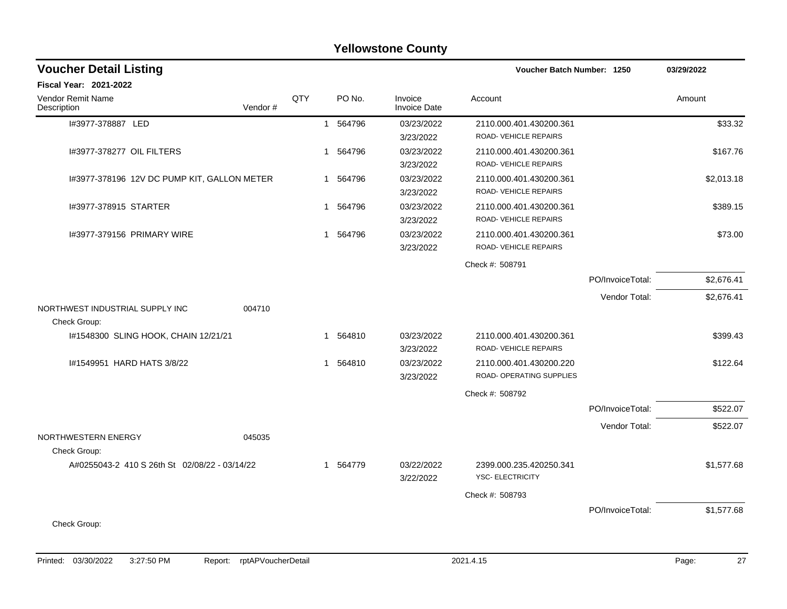|                                                 |         |     |                        | <b>Yellowstone County</b>      |                                                     |                  |            |
|-------------------------------------------------|---------|-----|------------------------|--------------------------------|-----------------------------------------------------|------------------|------------|
| <b>Voucher Detail Listing</b>                   |         |     |                        |                                | Voucher Batch Number: 1250                          |                  | 03/29/2022 |
| Fiscal Year: 2021-2022                          |         |     |                        |                                |                                                     |                  |            |
| Vendor Remit Name<br>Description                | Vendor# | QTY | PO No.                 | Invoice<br><b>Invoice Date</b> | Account                                             |                  | Amount     |
| I#3977-378887 LED                               |         |     | 564796<br>$\mathbf{1}$ | 03/23/2022<br>3/23/2022        | 2110.000.401.430200.361<br>ROAD-VEHICLE REPAIRS     |                  | \$33.32    |
| I#3977-378277 OIL FILTERS                       |         |     | 564796<br>1            | 03/23/2022<br>3/23/2022        | 2110.000.401.430200.361<br>ROAD-VEHICLE REPAIRS     |                  | \$167.76   |
| I#3977-378196 12V DC PUMP KIT, GALLON METER     |         |     | 564796<br>1            | 03/23/2022<br>3/23/2022        | 2110.000.401.430200.361<br>ROAD- VEHICLE REPAIRS    |                  | \$2,013.18 |
| I#3977-378915 STARTER                           |         |     | 564796<br>1            | 03/23/2022<br>3/23/2022        | 2110.000.401.430200.361<br>ROAD-VEHICLE REPAIRS     |                  | \$389.15   |
| 1#3977-379156 PRIMARY WIRE                      |         |     | 564796<br>1            | 03/23/2022<br>3/23/2022        | 2110.000.401.430200.361<br>ROAD-VEHICLE REPAIRS     |                  | \$73.00    |
|                                                 |         |     |                        |                                | Check #: 508791                                     |                  |            |
|                                                 |         |     |                        |                                |                                                     | PO/InvoiceTotal: | \$2,676.41 |
|                                                 |         |     |                        |                                |                                                     | Vendor Total:    | \$2,676.41 |
| NORTHWEST INDUSTRIAL SUPPLY INC<br>Check Group: | 004710  |     |                        |                                |                                                     |                  |            |
| I#1548300 SLING HOOK, CHAIN 12/21/21            |         |     | 564810<br>1            | 03/23/2022<br>3/23/2022        | 2110.000.401.430200.361<br>ROAD-VEHICLE REPAIRS     |                  | \$399.43   |
| I#1549951 HARD HATS 3/8/22                      |         |     | 564810<br>1            | 03/23/2022<br>3/23/2022        | 2110.000.401.430200.220<br>ROAD- OPERATING SUPPLIES |                  | \$122.64   |
|                                                 |         |     |                        |                                | Check #: 508792                                     |                  |            |
|                                                 |         |     |                        |                                |                                                     | PO/InvoiceTotal: | \$522.07   |
| NORTHWESTERN ENERGY                             | 045035  |     |                        |                                |                                                     | Vendor Total:    | \$522.07   |
| Check Group:                                    |         |     |                        |                                |                                                     |                  |            |
| A#0255043-2 410 S 26th St 02/08/22 - 03/14/22   |         |     | 1 564779               | 03/22/2022<br>3/22/2022        | 2399.000.235.420250.341<br><b>YSC- ELECTRICITY</b>  |                  | \$1,577.68 |
|                                                 |         |     |                        |                                | Check #: 508793                                     |                  |            |
| Check Group:                                    |         |     |                        |                                |                                                     | PO/InvoiceTotal: | \$1,577.68 |
|                                                 |         |     |                        |                                |                                                     |                  |            |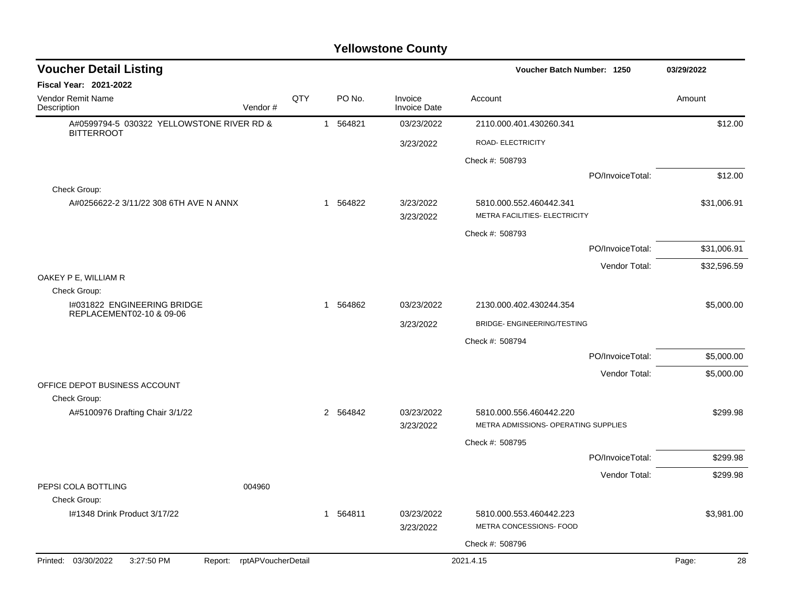| <b>Voucher Detail Listing</b>                                   |     |              |          |                                | Voucher Batch Number: 1250                                      | 03/29/2022       |             |
|-----------------------------------------------------------------|-----|--------------|----------|--------------------------------|-----------------------------------------------------------------|------------------|-------------|
| Fiscal Year: 2021-2022                                          |     |              |          |                                |                                                                 |                  |             |
| Vendor Remit Name<br>Vendor#<br>Description                     | QTY |              | PO No.   | Invoice<br><b>Invoice Date</b> | Account                                                         |                  | Amount      |
| A#0599794-5 030322 YELLOWSTONE RIVER RD &<br><b>BITTERROOT</b>  |     |              | 1 564821 | 03/23/2022                     | 2110.000.401.430260.341                                         |                  | \$12.00     |
|                                                                 |     |              |          | 3/23/2022                      | ROAD- ELECTRICITY                                               |                  |             |
|                                                                 |     |              |          |                                | Check #: 508793                                                 |                  |             |
|                                                                 |     |              |          |                                |                                                                 | PO/InvoiceTotal: | \$12.00     |
| Check Group:                                                    |     |              |          |                                |                                                                 |                  |             |
| A#0256622-2 3/11/22 308 6TH AVE N ANNX                          |     | $\mathbf{1}$ | 564822   | 3/23/2022<br>3/23/2022         | 5810.000.552.460442.341<br>METRA FACILITIES- ELECTRICITY        |                  | \$31,006.91 |
|                                                                 |     |              |          |                                | Check #: 508793                                                 |                  |             |
|                                                                 |     |              |          |                                |                                                                 | PO/InvoiceTotal: | \$31,006.91 |
|                                                                 |     |              |          |                                |                                                                 | Vendor Total:    | \$32,596.59 |
| OAKEY P E, WILLIAM R                                            |     |              |          |                                |                                                                 |                  |             |
| Check Group:<br>I#031822 ENGINEERING BRIDGE                     |     |              | 1 564862 | 03/23/2022                     |                                                                 |                  | \$5,000.00  |
| REPLACEMENT02-10 & 09-06                                        |     |              |          |                                | 2130.000.402.430244.354                                         |                  |             |
|                                                                 |     |              |          | 3/23/2022                      | BRIDGE-ENGINEERING/TESTING                                      |                  |             |
|                                                                 |     |              |          |                                | Check #: 508794                                                 |                  |             |
|                                                                 |     |              |          |                                |                                                                 | PO/InvoiceTotal: | \$5,000.00  |
| OFFICE DEPOT BUSINESS ACCOUNT                                   |     |              |          |                                |                                                                 | Vendor Total:    | \$5,000.00  |
| Check Group:                                                    |     |              |          |                                |                                                                 |                  |             |
| A#5100976 Drafting Chair 3/1/22                                 |     |              | 2 564842 | 03/23/2022                     | 5810.000.556.460442.220<br>METRA ADMISSIONS- OPERATING SUPPLIES |                  | \$299.98    |
|                                                                 |     |              |          | 3/23/2022                      |                                                                 |                  |             |
|                                                                 |     |              |          |                                | Check #: 508795                                                 |                  |             |
|                                                                 |     |              |          |                                |                                                                 | PO/InvoiceTotal: | \$299.98    |
| PEPSI COLA BOTTLING<br>004960<br>Check Group:                   |     |              |          |                                |                                                                 | Vendor Total:    | \$299.98    |
| I#1348 Drink Product 3/17/22                                    |     |              | 1 564811 | 03/23/2022                     | 5810.000.553.460442.223                                         |                  | \$3,981.00  |
|                                                                 |     |              |          | 3/23/2022                      | METRA CONCESSIONS- FOOD                                         |                  |             |
|                                                                 |     |              |          |                                | Check #: 508796                                                 |                  |             |
| Printed: 03/30/2022<br>3:27:50 PM<br>Report: rptAPVoucherDetail |     |              |          |                                | 2021.4.15                                                       |                  | 28<br>Page: |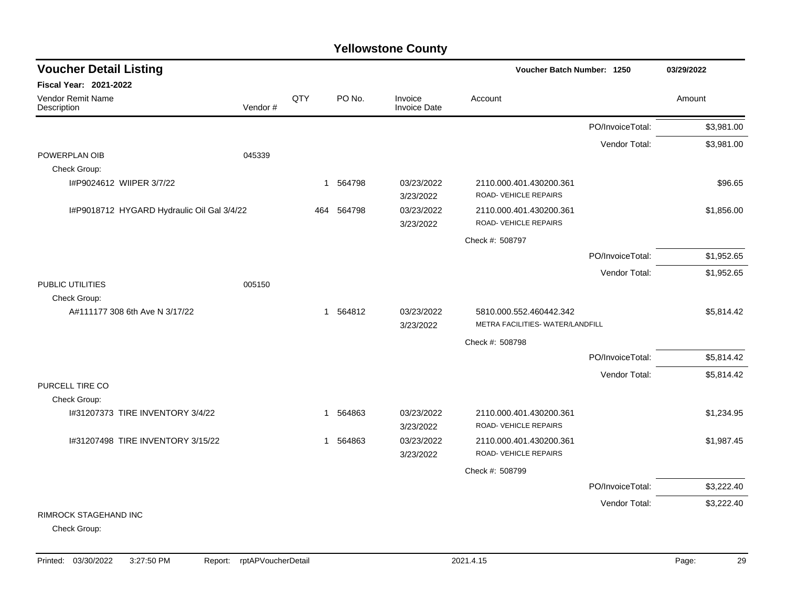| <b>Voucher Detail Listing</b>              |         |                |          |                                | Voucher Batch Number: 1250                       |                  | 03/29/2022 |
|--------------------------------------------|---------|----------------|----------|--------------------------------|--------------------------------------------------|------------------|------------|
| <b>Fiscal Year: 2021-2022</b>              |         |                |          |                                |                                                  |                  |            |
| Vendor Remit Name<br>Description           | Vendor# | QTY            | PO No.   | Invoice<br><b>Invoice Date</b> | Account                                          |                  | Amount     |
|                                            |         |                |          |                                |                                                  | PO/InvoiceTotal: | \$3,981.00 |
|                                            |         |                |          |                                |                                                  | Vendor Total:    | \$3,981.00 |
| POWERPLAN OIB                              | 045339  |                |          |                                |                                                  |                  |            |
| Check Group:                               |         |                |          |                                |                                                  |                  |            |
| I#P9024612 WIIPER 3/7/22                   |         |                | 1 564798 | 03/23/2022<br>3/23/2022        | 2110.000.401.430200.361<br>ROAD-VEHICLE REPAIRS  |                  | \$96.65    |
| I#P9018712 HYGARD Hydraulic Oil Gal 3/4/22 |         | 464            | 564798   | 03/23/2022<br>3/23/2022        | 2110.000.401.430200.361<br>ROAD- VEHICLE REPAIRS |                  | \$1,856.00 |
|                                            |         |                |          |                                | Check #: 508797                                  |                  |            |
|                                            |         |                |          |                                |                                                  | PO/InvoiceTotal: | \$1,952.65 |
|                                            |         |                |          |                                |                                                  | Vendor Total:    | \$1,952.65 |
| PUBLIC UTILITIES                           | 005150  |                |          |                                |                                                  |                  |            |
| Check Group:                               |         |                |          |                                |                                                  |                  |            |
| A#111177 308 6th Ave N 3/17/22             |         |                | 1 564812 | 03/23/2022                     | 5810.000.552.460442.342                          |                  | \$5,814.42 |
|                                            |         |                |          | 3/23/2022                      | METRA FACILITIES- WATER/LANDFILL                 |                  |            |
|                                            |         |                |          |                                | Check #: 508798                                  |                  |            |
|                                            |         |                |          |                                |                                                  | PO/InvoiceTotal: | \$5,814.42 |
|                                            |         |                |          |                                |                                                  | Vendor Total:    | \$5,814.42 |
| PURCELL TIRE CO<br>Check Group:            |         |                |          |                                |                                                  |                  |            |
| 1#31207373 TIRE INVENTORY 3/4/22           |         | $\overline{1}$ | 564863   | 03/23/2022                     | 2110.000.401.430200.361                          |                  | \$1,234.95 |
|                                            |         |                |          | 3/23/2022                      | ROAD-VEHICLE REPAIRS                             |                  |            |
| I#31207498 TIRE INVENTORY 3/15/22          |         | $\mathbf{1}$   | 564863   | 03/23/2022                     | 2110.000.401.430200.361                          |                  | \$1,987.45 |
|                                            |         |                |          | 3/23/2022                      | ROAD-VEHICLE REPAIRS                             |                  |            |
|                                            |         |                |          |                                | Check #: 508799                                  |                  |            |
|                                            |         |                |          |                                |                                                  | PO/InvoiceTotal: | \$3,222.40 |
|                                            |         |                |          |                                |                                                  | Vendor Total:    | \$3,222.40 |
| <b>RIMROCK STAGEHAND INC</b>               |         |                |          |                                |                                                  |                  |            |
| Check Group:                               |         |                |          |                                |                                                  |                  |            |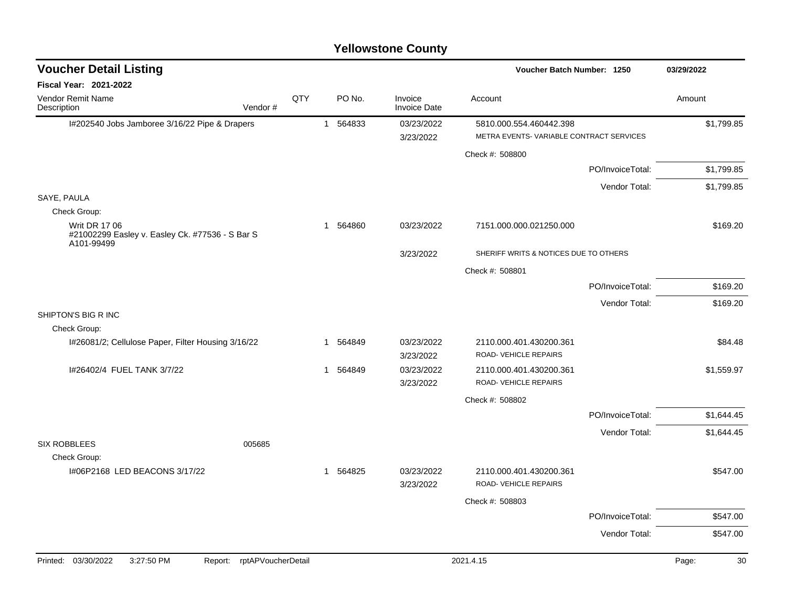| <b>Voucher Detail Listing</b>                                                         |                               |     |          |        |                                | Voucher Batch Number: 1250                                         |                  | 03/29/2022  |
|---------------------------------------------------------------------------------------|-------------------------------|-----|----------|--------|--------------------------------|--------------------------------------------------------------------|------------------|-------------|
| <b>Fiscal Year: 2021-2022</b>                                                         |                               |     |          |        |                                |                                                                    |                  |             |
| <b>Vendor Remit Name</b><br>Description                                               | Vendor#                       | QTY |          | PO No. | Invoice<br><b>Invoice Date</b> | Account                                                            |                  | Amount      |
| I#202540 Jobs Jamboree 3/16/22 Pipe & Drapers                                         |                               |     | 1 564833 |        | 03/23/2022<br>3/23/2022        | 5810.000.554.460442.398<br>METRA EVENTS-VARIABLE CONTRACT SERVICES |                  | \$1,799.85  |
|                                                                                       |                               |     |          |        |                                | Check #: 508800                                                    |                  |             |
|                                                                                       |                               |     |          |        |                                |                                                                    | PO/InvoiceTotal: | \$1,799.85  |
|                                                                                       |                               |     |          |        |                                |                                                                    | Vendor Total:    | \$1,799.85  |
| SAYE, PAULA<br>Check Group:                                                           |                               |     |          |        |                                |                                                                    |                  |             |
| <b>Writ DR 17 06</b><br>#21002299 Easley v. Easley Ck. #77536 - S Bar S<br>A101-99499 |                               |     | 1        | 564860 | 03/23/2022                     | 7151.000.000.021250.000                                            |                  | \$169.20    |
|                                                                                       |                               |     |          |        | 3/23/2022                      | SHERIFF WRITS & NOTICES DUE TO OTHERS                              |                  |             |
|                                                                                       |                               |     |          |        |                                | Check #: 508801                                                    |                  |             |
|                                                                                       |                               |     |          |        |                                |                                                                    | PO/InvoiceTotal: | \$169.20    |
|                                                                                       |                               |     |          |        |                                |                                                                    | Vendor Total:    | \$169.20    |
| SHIPTON'S BIG R INC                                                                   |                               |     |          |        |                                |                                                                    |                  |             |
| Check Group:<br>I#26081/2; Cellulose Paper, Filter Housing 3/16/22                    |                               |     | 1        | 564849 | 03/23/2022<br>3/23/2022        | 2110.000.401.430200.361<br>ROAD- VEHICLE REPAIRS                   |                  | \$84.48     |
| I#26402/4 FUEL TANK 3/7/22                                                            |                               |     | 1        | 564849 | 03/23/2022<br>3/23/2022        | 2110.000.401.430200.361<br>ROAD- VEHICLE REPAIRS                   |                  | \$1,559.97  |
|                                                                                       |                               |     |          |        |                                | Check #: 508802                                                    |                  |             |
|                                                                                       |                               |     |          |        |                                |                                                                    | PO/InvoiceTotal: | \$1,644.45  |
| <b>SIX ROBBLEES</b>                                                                   | 005685                        |     |          |        |                                |                                                                    | Vendor Total:    | \$1,644.45  |
| Check Group:                                                                          |                               |     |          |        |                                |                                                                    |                  |             |
| I#06P2168 LED BEACONS 3/17/22                                                         |                               |     | 1 564825 |        | 03/23/2022<br>3/23/2022        | 2110.000.401.430200.361<br>ROAD- VEHICLE REPAIRS                   |                  | \$547.00    |
|                                                                                       |                               |     |          |        |                                | Check #: 508803                                                    |                  |             |
|                                                                                       |                               |     |          |        |                                |                                                                    | PO/InvoiceTotal: | \$547.00    |
|                                                                                       |                               |     |          |        |                                |                                                                    | Vendor Total:    | \$547.00    |
|                                                                                       |                               |     |          |        |                                |                                                                    |                  |             |
| 03/30/2022<br>3:27:50 PM<br>Printed:                                                  | rptAPVoucherDetail<br>Report: |     |          |        |                                | 2021.4.15                                                          |                  | Page:<br>30 |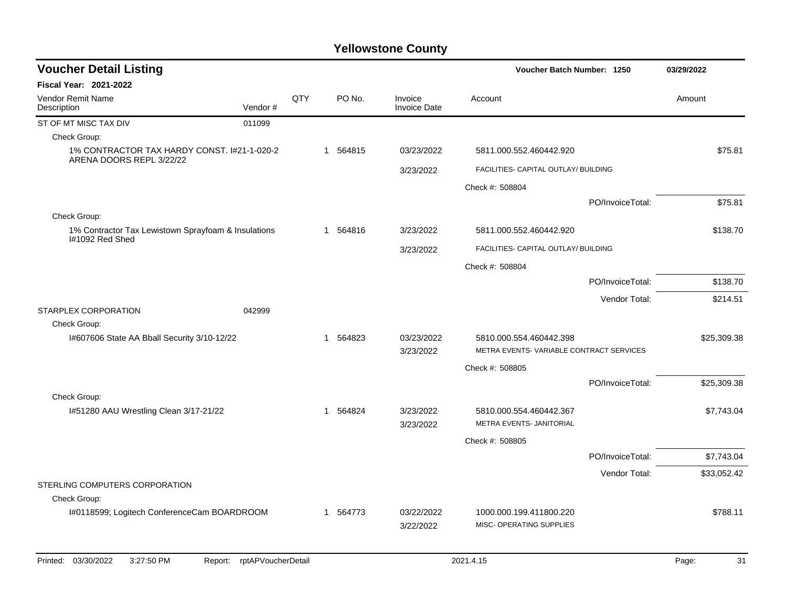| <b>Voucher Detail Listing</b>                                           |         |     |                       |                                |                                                     | Voucher Batch Number: 1250 |             |
|-------------------------------------------------------------------------|---------|-----|-----------------------|--------------------------------|-----------------------------------------------------|----------------------------|-------------|
| Fiscal Year: 2021-2022                                                  |         |     |                       |                                |                                                     |                            |             |
| Vendor Remit Name<br>Description                                        | Vendor# | QTY | PO No.                | Invoice<br><b>Invoice Date</b> | Account                                             |                            | Amount      |
| ST OF MT MISC TAX DIV                                                   | 011099  |     |                       |                                |                                                     |                            |             |
| Check Group:                                                            |         |     |                       |                                |                                                     |                            |             |
| 1% CONTRACTOR TAX HARDY CONST. 1#21-1-020-2<br>ARENA DOORS REPL 3/22/22 |         |     | 1 564815              | 03/23/2022                     | 5811.000.552.460442.920                             |                            | \$75.81     |
|                                                                         |         |     |                       | 3/23/2022                      | FACILITIES- CAPITAL OUTLAY/ BUILDING                |                            |             |
|                                                                         |         |     |                       |                                | Check #: 508804                                     |                            |             |
|                                                                         |         |     |                       |                                |                                                     | PO/InvoiceTotal:           | \$75.81     |
| Check Group:                                                            |         |     |                       |                                |                                                     |                            |             |
| 1% Contractor Tax Lewistown Sprayfoam & Insulations<br>I#1092 Red Shed  |         |     | 564816<br>$\mathbf 1$ | 3/23/2022                      | 5811.000.552.460442.920                             |                            | \$138.70    |
|                                                                         |         |     |                       | 3/23/2022                      | FACILITIES- CAPITAL OUTLAY/ BUILDING                |                            |             |
|                                                                         |         |     |                       |                                | Check #: 508804                                     |                            |             |
|                                                                         |         |     |                       |                                |                                                     | PO/InvoiceTotal:           | \$138.70    |
|                                                                         |         |     |                       |                                |                                                     | Vendor Total:              | \$214.51    |
| STARPLEX CORPORATION                                                    | 042999  |     |                       |                                |                                                     |                            |             |
| Check Group:                                                            |         |     |                       |                                |                                                     |                            |             |
| I#607606 State AA Bball Security 3/10-12/22                             |         |     | 564823<br>1           | 03/23/2022                     | 5810.000.554.460442.398                             |                            | \$25,309.38 |
|                                                                         |         |     |                       | 3/23/2022                      | METRA EVENTS-VARIABLE CONTRACT SERVICES             |                            |             |
|                                                                         |         |     |                       |                                | Check #: 508805                                     |                            |             |
|                                                                         |         |     |                       |                                |                                                     | PO/InvoiceTotal:           | \$25,309.38 |
| Check Group:                                                            |         |     |                       |                                |                                                     |                            |             |
| I#51280 AAU Wrestling Clean 3/17-21/22                                  |         |     | 564824<br>1           | 3/23/2022<br>3/23/2022         | 5810.000.554.460442.367<br>METRA EVENTS- JANITORIAL |                            | \$7,743.04  |
|                                                                         |         |     |                       |                                |                                                     |                            |             |
|                                                                         |         |     |                       |                                | Check #: 508805                                     |                            |             |
|                                                                         |         |     |                       |                                |                                                     | PO/InvoiceTotal:           | \$7,743.04  |
| STERLING COMPUTERS CORPORATION                                          |         |     |                       |                                |                                                     | Vendor Total:              | \$33,052.42 |
| Check Group:                                                            |         |     |                       |                                |                                                     |                            |             |
| I#0118599; Logitech ConferenceCam BOARDROOM                             |         |     | 1 564773              | 03/22/2022                     | 1000.000.199.411800.220                             |                            | \$788.11    |
|                                                                         |         |     |                       | 3/22/2022                      | MISC- OPERATING SUPPLIES                            |                            |             |
|                                                                         |         |     |                       |                                |                                                     |                            |             |
|                                                                         |         |     |                       |                                |                                                     |                            |             |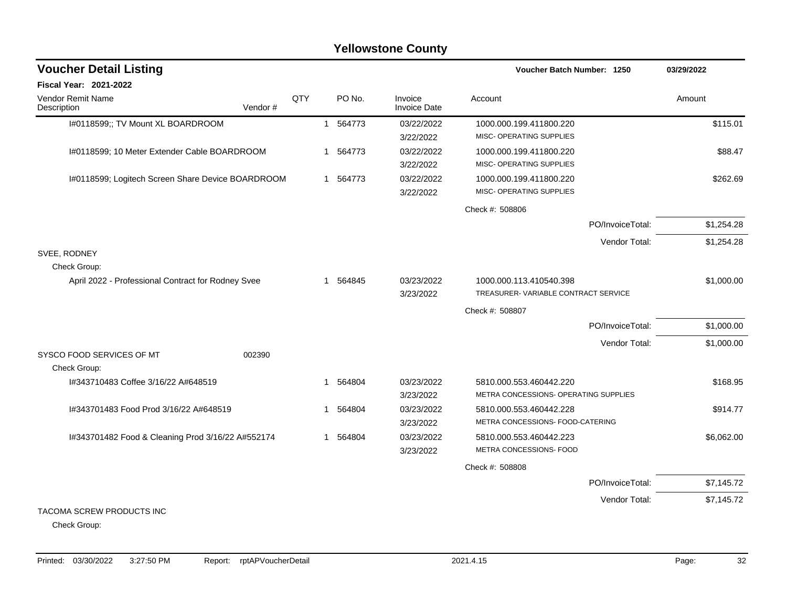| <b>Voucher Detail Listing</b>                      |         |     |   |          |                                |                                       | Voucher Batch Number: 1250 |            |  |
|----------------------------------------------------|---------|-----|---|----------|--------------------------------|---------------------------------------|----------------------------|------------|--|
| Fiscal Year: 2021-2022                             |         |     |   |          |                                |                                       |                            |            |  |
| Vendor Remit Name<br>Description                   | Vendor# | QTY |   | PO No.   | Invoice<br><b>Invoice Date</b> | Account                               |                            | Amount     |  |
| I#0118599;; TV Mount XL BOARDROOM                  |         |     |   | 1 564773 | 03/22/2022                     | 1000.000.199.411800.220               |                            | \$115.01   |  |
|                                                    |         |     |   |          | 3/22/2022                      | MISC- OPERATING SUPPLIES              |                            |            |  |
| I#0118599; 10 Meter Extender Cable BOARDROOM       |         |     | 1 | 564773   | 03/22/2022                     | 1000.000.199.411800.220               |                            | \$88.47    |  |
|                                                    |         |     |   |          | 3/22/2022                      | MISC- OPERATING SUPPLIES              |                            |            |  |
| I#0118599; Logitech Screen Share Device BOARDROOM  |         |     |   | 1 564773 | 03/22/2022                     | 1000.000.199.411800.220               |                            | \$262.69   |  |
|                                                    |         |     |   |          | 3/22/2022                      | MISC- OPERATING SUPPLIES              |                            |            |  |
|                                                    |         |     |   |          |                                | Check #: 508806                       |                            |            |  |
|                                                    |         |     |   |          |                                |                                       | PO/InvoiceTotal:           | \$1,254.28 |  |
|                                                    |         |     |   |          |                                |                                       | Vendor Total:              | \$1,254.28 |  |
| SVEE, RODNEY<br>Check Group:                       |         |     |   |          |                                |                                       |                            |            |  |
| April 2022 - Professional Contract for Rodney Svee |         |     | 1 | 564845   | 03/23/2022                     | 1000.000.113.410540.398               |                            | \$1,000.00 |  |
|                                                    |         |     |   |          | 3/23/2022                      | TREASURER-VARIABLE CONTRACT SERVICE   |                            |            |  |
|                                                    |         |     |   |          |                                | Check #: 508807                       |                            |            |  |
|                                                    |         |     |   |          |                                |                                       | PO/InvoiceTotal:           | \$1,000.00 |  |
|                                                    |         |     |   |          |                                |                                       | Vendor Total:              | \$1,000.00 |  |
| SYSCO FOOD SERVICES OF MT                          | 002390  |     |   |          |                                |                                       |                            |            |  |
| Check Group:                                       |         |     |   |          |                                |                                       |                            |            |  |
| I#343710483 Coffee 3/16/22 A#648519                |         |     | 1 | 564804   | 03/23/2022                     | 5810.000.553.460442.220               |                            | \$168.95   |  |
|                                                    |         |     |   |          | 3/23/2022                      | METRA CONCESSIONS- OPERATING SUPPLIES |                            |            |  |
| I#343701483 Food Prod 3/16/22 A#648519             |         |     | 1 | 564804   | 03/23/2022                     | 5810.000.553.460442.228               |                            | \$914.77   |  |
|                                                    |         |     |   |          | 3/23/2022                      | METRA CONCESSIONS- FOOD-CATERING      |                            |            |  |
| I#343701482 Food & Cleaning Prod 3/16/22 A#552174  |         |     | 1 | 564804   | 03/23/2022                     | 5810.000.553.460442.223               |                            | \$6,062.00 |  |
|                                                    |         |     |   |          | 3/23/2022                      | METRA CONCESSIONS- FOOD               |                            |            |  |
|                                                    |         |     |   |          |                                | Check #: 508808                       |                            |            |  |
|                                                    |         |     |   |          |                                |                                       | PO/InvoiceTotal:           | \$7,145.72 |  |
|                                                    |         |     |   |          |                                |                                       | Vendor Total:              | \$7,145.72 |  |
| TACOMA SCREW PRODUCTS INC                          |         |     |   |          |                                |                                       |                            |            |  |

Check Group: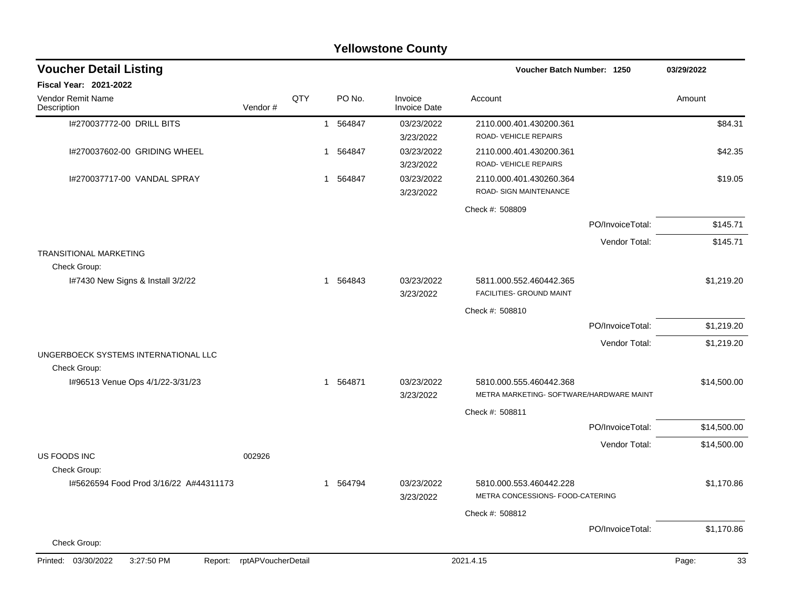|                                                      |                    |     |              |          | <b>Yellowstone County</b>      |                                                                     |                  |             |
|------------------------------------------------------|--------------------|-----|--------------|----------|--------------------------------|---------------------------------------------------------------------|------------------|-------------|
| <b>Voucher Detail Listing</b>                        |                    |     |              |          |                                | Voucher Batch Number: 1250                                          |                  | 03/29/2022  |
| Fiscal Year: 2021-2022                               |                    |     |              |          |                                |                                                                     |                  |             |
| Vendor Remit Name<br>Description                     | Vendor#            | QTY |              | PO No.   | Invoice<br><b>Invoice Date</b> | Account                                                             |                  | Amount      |
| I#270037772-00 DRILL BITS                            |                    |     |              | 1 564847 | 03/23/2022<br>3/23/2022        | 2110.000.401.430200.361<br>ROAD-VEHICLE REPAIRS                     |                  | \$84.31     |
| I#270037602-00 GRIDING WHEEL                         |                    |     | 1            | 564847   | 03/23/2022<br>3/23/2022        | 2110.000.401.430200.361<br>ROAD-VEHICLE REPAIRS                     |                  | \$42.35     |
| I#270037717-00 VANDAL SPRAY                          |                    |     |              | 1 564847 | 03/23/2022<br>3/23/2022        | 2110.000.401.430260.364<br>ROAD- SIGN MAINTENANCE                   |                  | \$19.05     |
|                                                      |                    |     |              |          |                                | Check #: 508809                                                     |                  |             |
|                                                      |                    |     |              |          |                                |                                                                     | PO/InvoiceTotal: | \$145.71    |
| <b>TRANSITIONAL MARKETING</b>                        |                    |     |              |          |                                |                                                                     | Vendor Total:    | \$145.71    |
| Check Group:                                         |                    |     |              |          |                                |                                                                     |                  |             |
| 1#7430 New Signs & Install 3/2/22                    |                    |     |              | 1 564843 | 03/23/2022<br>3/23/2022        | 5811.000.552.460442.365<br>FACILITIES- GROUND MAINT                 |                  | \$1,219.20  |
|                                                      |                    |     |              |          |                                | Check #: 508810                                                     |                  |             |
|                                                      |                    |     |              |          |                                |                                                                     | PO/InvoiceTotal: | \$1,219.20  |
|                                                      |                    |     |              |          |                                |                                                                     | Vendor Total:    | \$1,219.20  |
| UNGERBOECK SYSTEMS INTERNATIONAL LLC<br>Check Group: |                    |     |              |          |                                |                                                                     |                  |             |
| I#96513 Venue Ops 4/1/22-3/31/23                     |                    |     |              | 1 564871 | 03/23/2022<br>3/23/2022        | 5810.000.555.460442.368<br>METRA MARKETING- SOFTWARE/HARDWARE MAINT |                  | \$14,500.00 |
|                                                      |                    |     |              |          |                                | Check #: 508811                                                     |                  |             |
|                                                      |                    |     |              |          |                                |                                                                     | PO/InvoiceTotal: | \$14,500.00 |
|                                                      |                    |     |              |          |                                |                                                                     | Vendor Total:    | \$14,500.00 |
| US FOODS INC<br>Check Group:                         | 002926             |     |              |          |                                |                                                                     |                  |             |
| I#5626594 Food Prod 3/16/22 A#44311173               |                    |     | $\mathbf{1}$ | 564794   | 03/23/2022<br>3/23/2022        | 5810.000.553.460442.228<br>METRA CONCESSIONS- FOOD-CATERING         |                  | \$1,170.86  |
|                                                      |                    |     |              |          |                                | Check #: 508812                                                     |                  |             |
| Check Group:                                         |                    |     |              |          |                                |                                                                     | PO/InvoiceTotal: | \$1,170.86  |
|                                                      |                    |     |              |          |                                |                                                                     |                  |             |
| Printed: 03/30/2022<br>3:27:50 PM<br>Report:         | rptAPVoucherDetail |     |              |          |                                | 2021.4.15                                                           |                  | Page:<br>33 |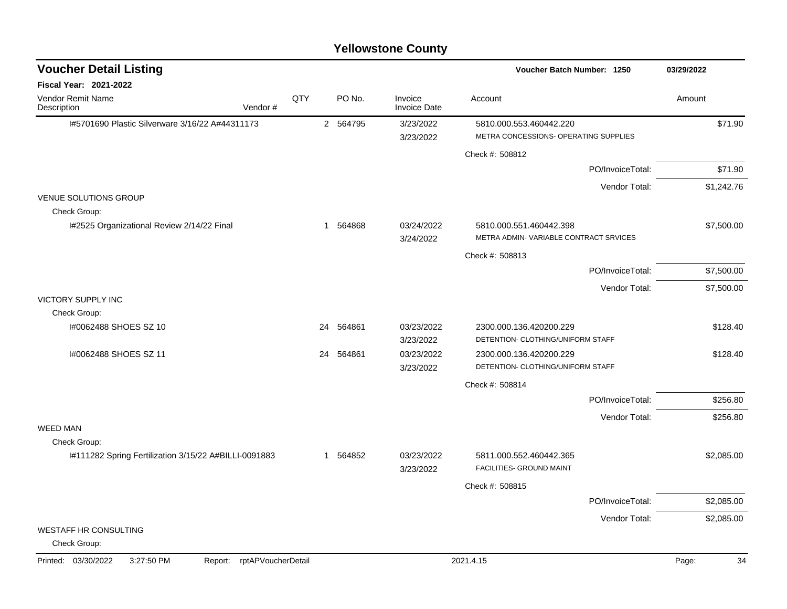| <b>Voucher Detail Listing</b>                         |                    |     |           |                                | Voucher Batch Number: 1250                                       | 03/29/2022  |
|-------------------------------------------------------|--------------------|-----|-----------|--------------------------------|------------------------------------------------------------------|-------------|
| <b>Fiscal Year: 2021-2022</b>                         |                    |     |           |                                |                                                                  |             |
| Vendor Remit Name<br>Description                      | Vendor#            | QTY | PO No.    | Invoice<br><b>Invoice Date</b> | Account                                                          | Amount      |
| I#5701690 Plastic Silverware 3/16/22 A#44311173       |                    |     | 2 564795  | 3/23/2022                      | 5810.000.553.460442.220                                          | \$71.90     |
|                                                       |                    |     |           | 3/23/2022                      | METRA CONCESSIONS- OPERATING SUPPLIES                            |             |
|                                                       |                    |     |           |                                | Check #: 508812                                                  |             |
|                                                       |                    |     |           |                                | PO/InvoiceTotal:                                                 | \$71.90     |
|                                                       |                    |     |           |                                | Vendor Total:                                                    | \$1,242.76  |
| <b>VENUE SOLUTIONS GROUP</b><br>Check Group:          |                    |     |           |                                |                                                                  |             |
| I#2525 Organizational Review 2/14/22 Final            |                    |     | 1 564868  | 03/24/2022<br>3/24/2022        | 5810.000.551.460442.398<br>METRA ADMIN-VARIABLE CONTRACT SRVICES | \$7,500.00  |
|                                                       |                    |     |           |                                | Check #: 508813                                                  |             |
|                                                       |                    |     |           |                                | PO/InvoiceTotal:                                                 | \$7,500.00  |
|                                                       |                    |     |           |                                | Vendor Total:                                                    | \$7,500.00  |
| <b>VICTORY SUPPLY INC</b>                             |                    |     |           |                                |                                                                  |             |
| Check Group:                                          |                    |     |           |                                |                                                                  |             |
| I#0062488 SHOES SZ 10                                 |                    |     | 24 564861 | 03/23/2022<br>3/23/2022        | 2300.000.136.420200.229<br>DETENTION- CLOTHING/UNIFORM STAFF     | \$128.40    |
| I#0062488 SHOES SZ 11                                 |                    |     | 24 564861 | 03/23/2022                     | 2300.000.136.420200.229                                          | \$128.40    |
|                                                       |                    |     |           | 3/23/2022                      | DETENTION- CLOTHING/UNIFORM STAFF                                |             |
|                                                       |                    |     |           |                                | Check #: 508814                                                  |             |
|                                                       |                    |     |           |                                | PO/InvoiceTotal:                                                 | \$256.80    |
|                                                       |                    |     |           |                                | Vendor Total:                                                    | \$256.80    |
| <b>WEED MAN</b>                                       |                    |     |           |                                |                                                                  |             |
| Check Group:                                          |                    |     |           | 03/23/2022                     |                                                                  |             |
| I#111282 Spring Fertilization 3/15/22 A#BILLI-0091883 |                    |     | 1 564852  | 3/23/2022                      | 5811.000.552.460442.365<br>FACILITIES- GROUND MAINT              | \$2,085.00  |
|                                                       |                    |     |           |                                | Check #: 508815                                                  |             |
|                                                       |                    |     |           |                                | PO/InvoiceTotal:                                                 | \$2,085.00  |
|                                                       |                    |     |           |                                | Vendor Total:                                                    | \$2,085.00  |
| <b>WESTAFF HR CONSULTING</b><br>Check Group:          |                    |     |           |                                |                                                                  |             |
| Printed: 03/30/2022<br>3:27:50 PM<br>Report:          | rptAPVoucherDetail |     |           |                                | 2021.4.15                                                        | 34<br>Page: |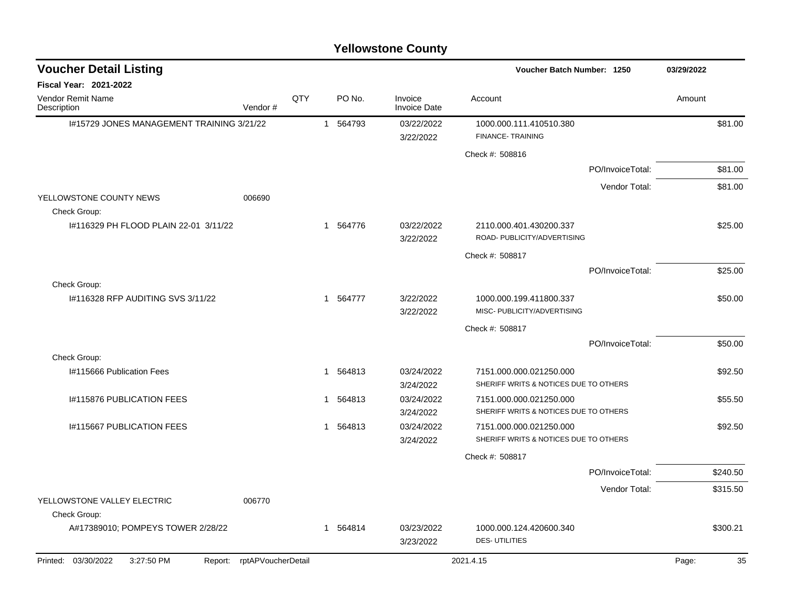| <b>Voucher Detail Listing</b>                |                    |     |                       |                                | Voucher Batch Number: 1250                                       | 03/29/2022  |
|----------------------------------------------|--------------------|-----|-----------------------|--------------------------------|------------------------------------------------------------------|-------------|
| <b>Fiscal Year: 2021-2022</b>                |                    |     |                       |                                |                                                                  |             |
| <b>Vendor Remit Name</b><br>Description      | Vendor#            | QTY | PO No.                | Invoice<br><b>Invoice Date</b> | Account                                                          | Amount      |
| I#15729 JONES MANAGEMENT TRAINING 3/21/22    |                    |     | 1 564793              | 03/22/2022<br>3/22/2022        | 1000.000.111.410510.380<br>FINANCE-TRAINING                      | \$81.00     |
|                                              |                    |     |                       |                                | Check #: 508816                                                  |             |
|                                              |                    |     |                       |                                | PO/InvoiceTotal:                                                 | \$81.00     |
|                                              |                    |     |                       |                                | Vendor Total:                                                    | \$81.00     |
| YELLOWSTONE COUNTY NEWS<br>Check Group:      | 006690             |     |                       |                                |                                                                  |             |
| I#116329 PH FLOOD PLAIN 22-01 3/11/22        |                    |     | 1 564776              | 03/22/2022<br>3/22/2022        | 2110.000.401.430200.337<br>ROAD- PUBLICITY/ADVERTISING           | \$25.00     |
|                                              |                    |     |                       |                                | Check #: 508817                                                  |             |
|                                              |                    |     |                       |                                | PO/InvoiceTotal:                                                 | \$25.00     |
| Check Group:                                 |                    |     |                       |                                |                                                                  |             |
| #116328 RFP AUDITING SVS 3/11/22             |                    |     | 1 564777              | 3/22/2022<br>3/22/2022         | 1000.000.199.411800.337<br>MISC- PUBLICITY/ADVERTISING           | \$50.00     |
|                                              |                    |     |                       |                                | Check #: 508817                                                  |             |
|                                              |                    |     |                       |                                | PO/InvoiceTotal:                                                 | \$50.00     |
| Check Group:                                 |                    |     |                       |                                |                                                                  |             |
| I#115666 Publication Fees                    |                    |     | 564813<br>$\mathbf 1$ | 03/24/2022                     | 7151.000.000.021250.000                                          | \$92.50     |
|                                              |                    |     |                       | 3/24/2022                      | SHERIFF WRITS & NOTICES DUE TO OTHERS                            |             |
| 1#115876 PUBLICATION FEES                    |                    |     | 564813<br>1           | 03/24/2022<br>3/24/2022        | 7151.000.000.021250.000<br>SHERIFF WRITS & NOTICES DUE TO OTHERS | \$55.50     |
| <b>I#115667 PUBLICATION FEES</b>             |                    |     | 564813<br>1           | 03/24/2022                     | 7151.000.000.021250.000                                          | \$92.50     |
|                                              |                    |     |                       | 3/24/2022                      | SHERIFF WRITS & NOTICES DUE TO OTHERS                            |             |
|                                              |                    |     |                       |                                | Check #: 508817                                                  |             |
|                                              |                    |     |                       |                                | PO/InvoiceTotal:                                                 | \$240.50    |
|                                              |                    |     |                       |                                | Vendor Total:                                                    | \$315.50    |
| YELLOWSTONE VALLEY ELECTRIC<br>Check Group:  | 006770             |     |                       |                                |                                                                  |             |
| A#17389010; POMPEYS TOWER 2/28/22            |                    |     | 1 564814              | 03/23/2022                     | 1000.000.124.420600.340                                          | \$300.21    |
|                                              |                    |     |                       | 3/23/2022                      | <b>DES-UTILITIES</b>                                             |             |
| Printed: 03/30/2022<br>3:27:50 PM<br>Report: | rptAPVoucherDetail |     |                       |                                | 2021.4.15                                                        | 35<br>Page: |